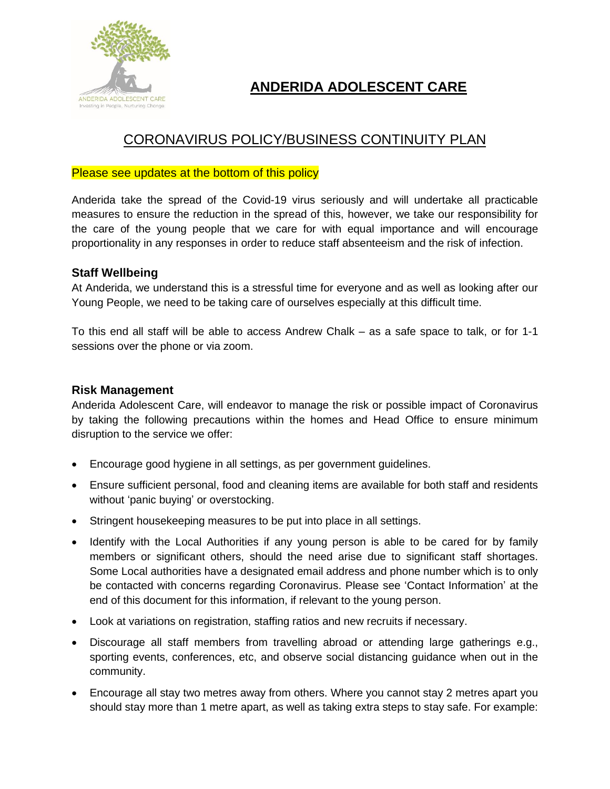

# **ANDERIDA ADOLESCENT CARE**

# CORONAVIRUS POLICY/BUSINESS CONTINUITY PLAN

# Please see updates at the bottom of this policy

Anderida take the spread of the Covid-19 virus seriously and will undertake all practicable measures to ensure the reduction in the spread of this, however, we take our responsibility for the care of the young people that we care for with equal importance and will encourage proportionality in any responses in order to reduce staff absenteeism and the risk of infection.

# **Staff Wellbeing**

At Anderida, we understand this is a stressful time for everyone and as well as looking after our Young People, we need to be taking care of ourselves especially at this difficult time.

To this end all staff will be able to access Andrew Chalk – as a safe space to talk, or for 1-1 sessions over the phone or via zoom.

# **Risk Management**

Anderida Adolescent Care, will endeavor to manage the risk or possible impact of Coronavirus by taking the following precautions within the homes and Head Office to ensure minimum disruption to the service we offer:

- Encourage good hygiene in all settings, as per government guidelines.
- Ensure sufficient personal, food and cleaning items are available for both staff and residents without 'panic buying' or overstocking.
- Stringent housekeeping measures to be put into place in all settings.
- Identify with the Local Authorities if any young person is able to be cared for by family members or significant others, should the need arise due to significant staff shortages. Some Local authorities have a designated email address and phone number which is to only be contacted with concerns regarding Coronavirus. Please see 'Contact Information' at the end of this document for this information, if relevant to the young person.
- Look at variations on registration, staffing ratios and new recruits if necessary.
- Discourage all staff members from travelling abroad or attending large gatherings e.g., sporting events, conferences, etc, and observe social distancing guidance when out in the community.
- Encourage all stay two metres away from others. Where you cannot stay 2 metres apart you should stay more than 1 metre apart, as well as taking extra steps to stay safe. For example: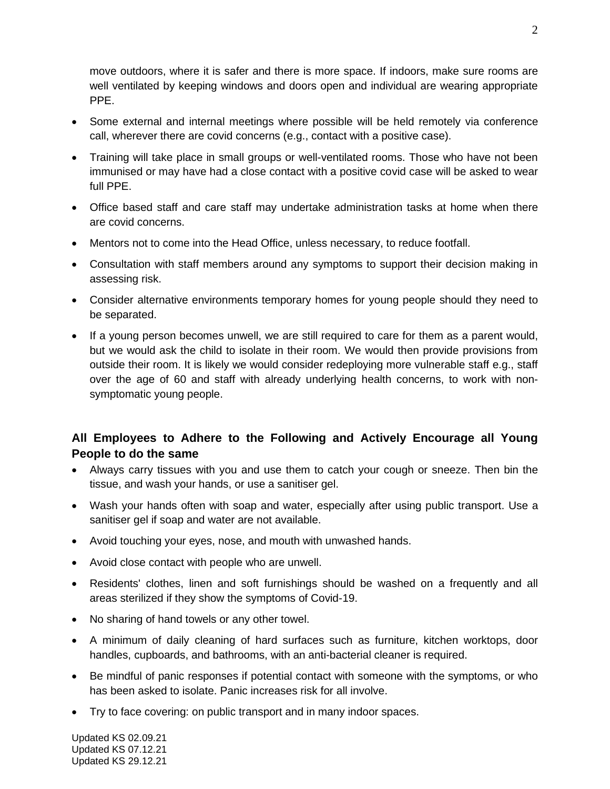move outdoors, where it is safer and there is more space. If indoors, make sure rooms are well ventilated by keeping windows and doors open and individual are wearing appropriate PPE.

- Some external and internal meetings where possible will be held remotely via conference call, wherever there are covid concerns (e.g., contact with a positive case).
- Training will take place in small groups or well-ventilated rooms. Those who have not been immunised or may have had a close contact with a positive covid case will be asked to wear full PPE.
- Office based staff and care staff may undertake administration tasks at home when there are covid concerns.
- Mentors not to come into the Head Office, unless necessary, to reduce footfall.
- Consultation with staff members around any symptoms to support their decision making in assessing risk.
- Consider alternative environments temporary homes for young people should they need to be separated.
- If a young person becomes unwell, we are still required to care for them as a parent would, but we would ask the child to isolate in their room. We would then provide provisions from outside their room. It is likely we would consider redeploying more vulnerable staff e.g., staff over the age of 60 and staff with already underlying health concerns, to work with nonsymptomatic young people.

# **All Employees to Adhere to the Following and Actively Encourage all Young People to do the same**

- Always carry tissues with you and use them to catch your cough or sneeze. Then bin the tissue, and wash your hands, or use a sanitiser gel.
- Wash your hands often with soap and water, especially after using public transport. Use a sanitiser gel if soap and water are not available.
- Avoid touching your eyes, nose, and mouth with unwashed hands.
- Avoid close contact with people who are unwell.
- Residents' clothes, linen and soft furnishings should be washed on a frequently and all areas sterilized if they show the symptoms of Covid-19.
- No sharing of hand towels or any other towel.
- A minimum of daily cleaning of hard surfaces such as furniture, kitchen worktops, door handles, cupboards, and bathrooms, with an anti-bacterial cleaner is required.
- Be mindful of panic responses if potential contact with someone with the symptoms, or who has been asked to isolate. Panic increases risk for all involve.
- Try to face [covering:](https://www.gov.uk/government/publications/face-coverings-when-to-wear-one-and-how-to-make-your-own/face-coverings-when-to-wear-one-and-how-to-make-your-own) on public transport and in many indoor spaces.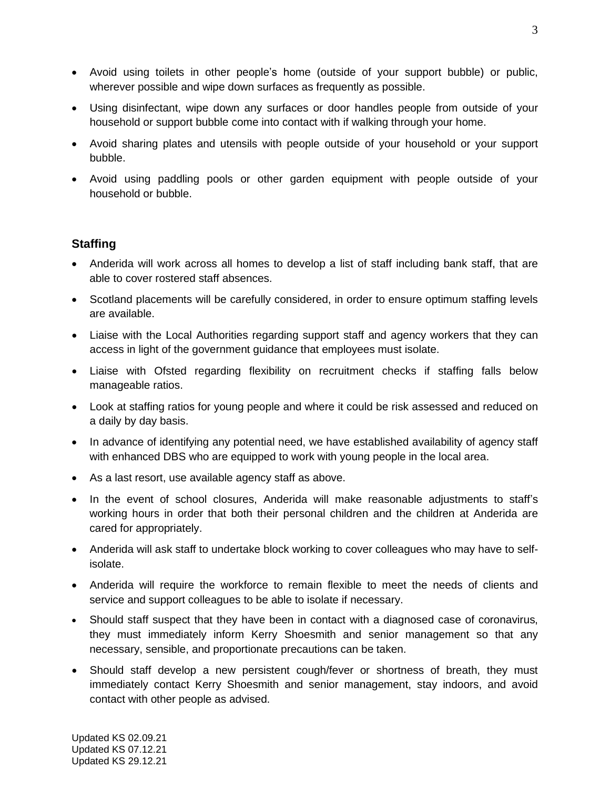- Avoid using toilets in other people's home (outside of your support bubble) or public, wherever possible and wipe down surfaces as frequently as possible.
- Using disinfectant, wipe down any surfaces or door handles people from outside of your household or support bubble come into contact with if walking through your home.
- Avoid sharing plates and utensils with people outside of your household or your support bubble.
- Avoid using paddling pools or other garden equipment with people outside of your household or bubble.

# **Staffing**

- Anderida will work across all homes to develop a list of staff including bank staff, that are able to cover rostered staff absences.
- Scotland placements will be carefully considered, in order to ensure optimum staffing levels are available.
- Liaise with the Local Authorities regarding support staff and agency workers that they can access in light of the government guidance that employees must isolate.
- Liaise with Ofsted regarding flexibility on recruitment checks if staffing falls below manageable ratios.
- Look at staffing ratios for young people and where it could be risk assessed and reduced on a daily by day basis.
- In advance of identifying any potential need, we have established availability of agency staff with enhanced DBS who are equipped to work with young people in the local area.
- As a last resort, use available agency staff as above.
- In the event of school closures, Anderida will make reasonable adjustments to staff's working hours in order that both their personal children and the children at Anderida are cared for appropriately.
- Anderida will ask staff to undertake block working to cover colleagues who may have to selfisolate.
- Anderida will require the workforce to remain flexible to meet the needs of clients and service and support colleagues to be able to isolate if necessary.
- Should staff suspect that they have been in contact with a diagnosed case of coronavirus, they must immediately inform Kerry Shoesmith and senior management so that any necessary, sensible, and proportionate precautions can be taken.
- Should staff develop a new persistent cough/fever or shortness of breath, they must immediately contact Kerry Shoesmith and senior management, stay indoors, and avoid contact with other people as advised.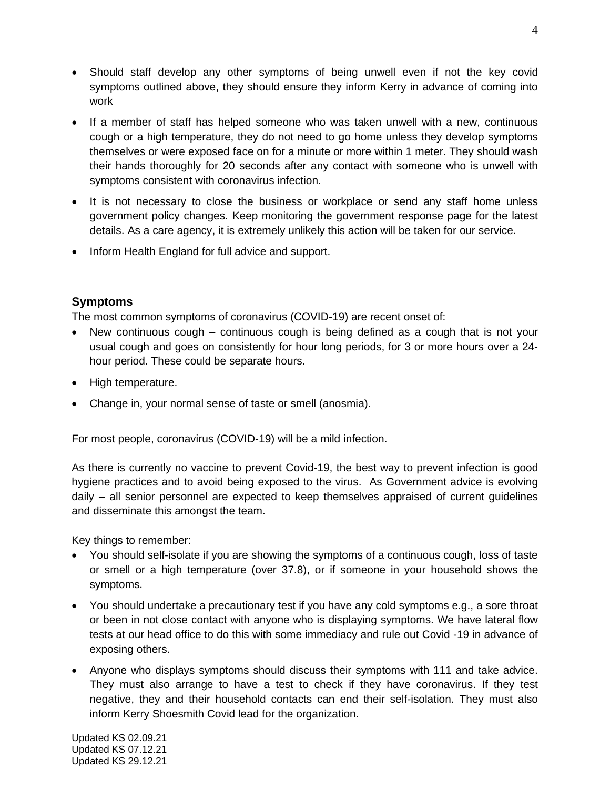- Should staff develop any other symptoms of being unwell even if not the key covid symptoms outlined above, they should ensure they inform Kerry in advance of coming into work
- If a member of staff has helped someone who was taken unwell with a new, continuous cough or a high temperature, they do not need to go home unless they develop symptoms themselves or were exposed face on for a minute or more within 1 meter. They should wash their hands thoroughly for 20 seconds after any contact with someone who is unwell with symptoms consistent with coronavirus infection.
- It is not necessary to close the business or workplace or send any staff home unless government policy changes. Keep monitoring the government response page for the latest details. As a care agency, it is extremely unlikely this action will be taken for our service.
- Inform Health England for full advice and support.

# **Symptoms**

The most common symptoms of coronavirus (COVID-19) are recent onset of:

- New continuous cough continuous cough is being defined as a cough that is not your usual cough and goes on consistently for hour long periods, for 3 or more hours over a 24 hour period. These could be separate hours.
- High temperature.
- Change in, your normal sense of taste or smell (anosmia).

For most people, coronavirus (COVID-19) will be a mild infection.

As there is currently no vaccine to prevent Covid-19, the best way to prevent infection is good hygiene practices and to avoid being exposed to the virus. As Government advice is evolving daily – all senior personnel are expected to keep themselves appraised of current guidelines and disseminate this amongst the team.

Key things to remember:

- You should self-isolate if you are showing the symptoms of a continuous cough, loss of taste or smell or a high temperature (over 37.8), or if someone in your household shows the symptoms.
- You should undertake a precautionary test if you have any cold symptoms e.g., a sore throat or been in not close contact with anyone who is displaying symptoms. We have lateral flow tests at our head office to do this with some immediacy and rule out Covid -19 in advance of exposing others.
- Anyone who displays symptoms should discuss their symptoms with 111 and take advice. They must also arrange to have a test to check if they have [coronavirus.](https://www.nhs.uk/conditions/coronavirus-covid-19/testing-for-coronavirus/) If they test negative, they and their household contacts can end their self-isolation. They must also inform Kerry Shoesmith Covid lead for the organization.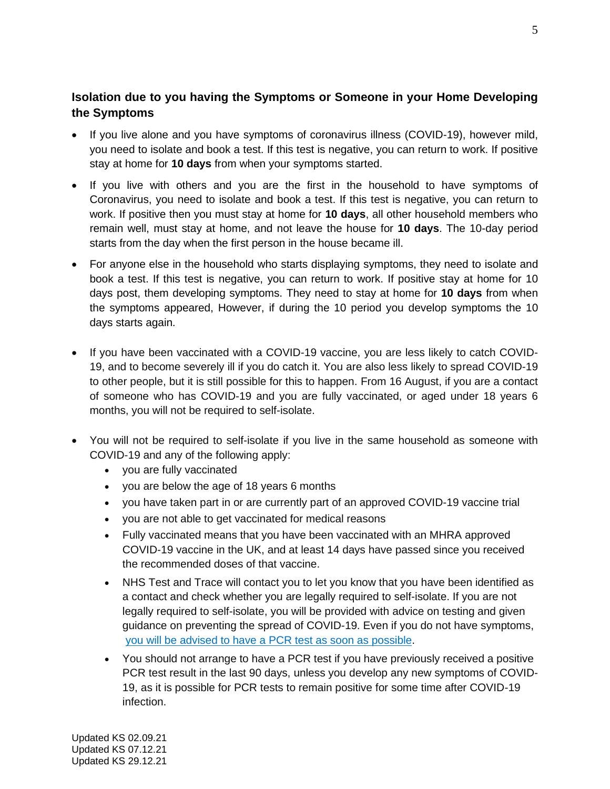# **Isolation due to you having the Symptoms or Someone in your Home Developing the Symptoms**

- If you live alone and you have symptoms of coronavirus illness (COVID-19), however mild, you need to isolate and book a test. If this test is negative, you can return to work. If positive stay at home for **10 days** from when your symptoms started.
- If you live with others and you are the first in the household to have symptoms of Coronavirus, you need to isolate and book a test. If this test is negative, you can return to work. If positive then you must stay at home for **10 days**, all other household members who remain well, must stay at home, and not leave the house for **10 days**. The 10-day period starts from the day when the first person in the house became ill.
- For anyone else in the household who starts displaying symptoms, they need to isolate and book a test. If this test is negative, you can return to work. If positive stay at home for 10 days post, them developing symptoms. They need to stay at home for **10 days** from when the symptoms appeared, However, if during the 10 period you develop symptoms the 10 days starts again.
- If you have been vaccinated with a COVID-19 vaccine, you are less likely to catch COVID-19, and to become severely ill if you do catch it. You are also less likely to spread COVID-19 to other people, but it is still possible for this to happen. From 16 August, if you are a contact of someone who has COVID-19 and you are fully vaccinated, or aged under 18 years 6 months, you will not be required to self-isolate.
- You will not be required to self-isolate if you live in the same household as someone with COVID-19 and any of the following apply:
	- you are fully vaccinated
	- you are below the age of 18 years 6 months
	- you have taken part in or are currently part of an approved COVID-19 vaccine trial
	- you are not able to get vaccinated for medical reasons
	- Fully vaccinated means that you have been vaccinated with an MHRA approved COVID-19 vaccine in the UK, and at least 14 days have passed since you received the recommended doses of that vaccine.
	- NHS Test and Trace will contact you to let you know that you have been identified as a contact and check whether you are legally required to self-isolate. If you are not legally required to self-isolate, you will be provided with advice on testing and given guidance on preventing the spread of COVID-19. Even if you do not have symptoms, [you will be advised to have a](https://www.gov.uk/government/publications/covid-19-stay-at-home-guidance/stay-at-home-guidance-for-households-with-possible-coronavirus-covid-19-infection#PCR) PCR test as soon as possible.
	- You should not arrange to have a PCR test if you have previously received a positive PCR test result in the last 90 days, unless you develop any new symptoms of COVID-19, as it is possible for PCR tests to remain positive for some time after COVID-19 infection.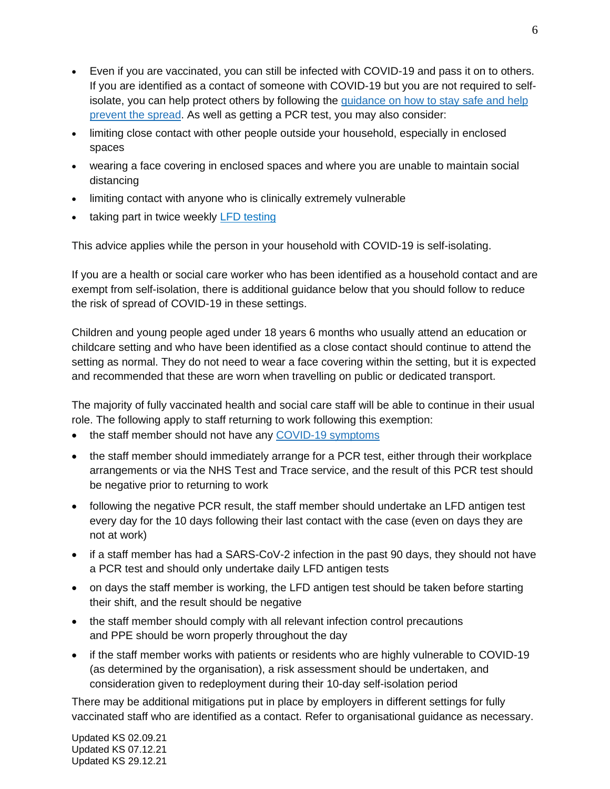- Even if you are vaccinated, you can still be infected with COVID-19 and pass it on to others. If you are identified as a contact of someone with COVID-19 but you are not required to selfisolate, you can help protect others by following the [guidance](https://www.gov.uk/guidance/covid-19-coronavirus-restrictions-what-you-can-and-cannot-do#keeping-yourself-and-others-safe) on how to stay safe and help [prevent](https://www.gov.uk/guidance/covid-19-coronavirus-restrictions-what-you-can-and-cannot-do#keeping-yourself-and-others-safe) the spread. As well as getting a PCR test, you may also consider:
- limiting close contact with other people outside your household, especially in enclosed spaces
- wearing a face covering in enclosed spaces and where you are unable to maintain social distancing
- limiting contact with anyone who is clinically extremely vulnerable
- taking part in twice weekly LFD [testing](https://www.gov.uk/order-coronavirus-rapid-lateral-flow-tests)

This advice applies while the person in your household with COVID-19 is self-isolating.

If you are a health or social care worker who has been identified as a household contact and are exempt from self-isolation, there is additional guidance below that you should follow to reduce the risk of spread of COVID-19 in these settings.

Children and young people aged under 18 years 6 months who usually attend an education or childcare setting and who have been identified as a close contact should continue to attend the setting as normal. They do not need to wear a face covering within the setting, but it is expected and recommended that these are worn when travelling on public or dedicated transport.

The majority of fully vaccinated health and social care staff will be able to continue in their usual role. The following apply to staff returning to work following this exemption:

- the staff member should not have any [COVID-19](https://www.gov.uk/government/publications/wuhan-novel-coronavirus-background-information/wuhan-novel-coronavirus-epidemiology-virology-and-clinical-features#clinical-features) symptoms
- the staff member should immediately arrange for a PCR test, either through their workplace arrangements or via the NHS Test and Trace service, and the result of this PCR test should be negative prior to returning to work
- following the negative PCR result, the staff member should undertake an LFD antigen test every day for the 10 days following their last contact with the case (even on days they are not at work)
- if a staff member has had a SARS-CoV-2 infection in the past 90 days, they should not have a PCR test and should only undertake daily LFD antigen tests
- on days the staff member is working, the LFD antigen test should be taken before starting their shift, and the result should be negative
- the staff member should comply with all relevant infection control precautions and PPE should be worn properly throughout the day
- if the staff member works with patients or residents who are highly vulnerable to COVID-19 (as determined by the organisation), a risk assessment should be undertaken, and consideration given to redeployment during their 10-day self-isolation period

There may be additional mitigations put in place by employers in different settings for fully vaccinated staff who are identified as a contact. Refer to organisational guidance as necessary.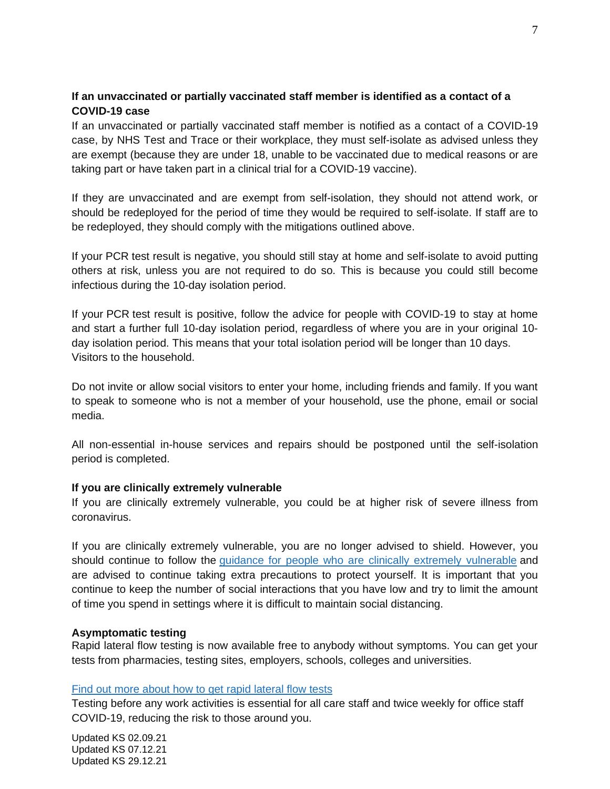# **If an unvaccinated or partially vaccinated staff member is identified as a contact of a COVID-19 case**

If an unvaccinated or partially vaccinated staff member is notified as a contact of a COVID-19 case, by NHS Test and Trace or their workplace, they must self-isolate as advised unless they are exempt (because they are under 18, unable to be vaccinated due to medical reasons or are taking part or have taken part in a clinical trial for a COVID-19 vaccine).

If they are unvaccinated and are exempt from self-isolation, they should not attend work, or should be redeployed for the period of time they would be required to self-isolate. If staff are to be redeployed, they should comply with the mitigations outlined above.

If your PCR test result is negative, you should still stay at home and self-isolate to avoid putting others at risk, unless you are not required to do so. This is because you could still become infectious during the 10-day isolation period.

If your PCR test result is positive, follow the advice for people with COVID-19 to stay at home and start a further full 10-day isolation period, regardless of where you are in your original 10 day isolation period. This means that your total isolation period will be longer than 10 days. Visitors to the household.

Do not invite or allow social visitors to enter your home, including friends and family. If you want to speak to someone who is not a member of your household, use the phone, email or social media.

All non-essential in-house services and repairs should be postponed until the self-isolation period is completed.

## **If you are clinically extremely vulnerable**

If you are clinically extremely vulnerable, you could be at higher risk of severe illness from coronavirus.

If you are clinically extremely vulnerable, you are no longer advised to shield. However, you should continue to follow the guidance for people who are clinically extremely [vulnerable](https://www.gov.uk/government/publications/guidance-on-shielding-and-protecting-extremely-vulnerable-persons-from-covid-19) and are advised to continue taking extra precautions to protect yourself. It is important that you continue to keep the number of social interactions that you have low and try to limit the amount of time you spend in settings where it is difficult to maintain social distancing.

#### **Asymptomatic testing**

Rapid lateral flow testing is now available free to anybody without symptoms. You can get your tests from pharmacies, testing sites, employers, schools, colleges and universities.

#### Find out more about how to get rapid [lateral](https://www.nhs.uk/conditions/coronavirus-covid-19/testing/regular-rapid-coronavirus-tests-if-you-do-not-have-symptoms/) flow tests

Testing before any work activities is essential for all care staff and twice weekly for office staff COVID-19, reducing the risk to those around you.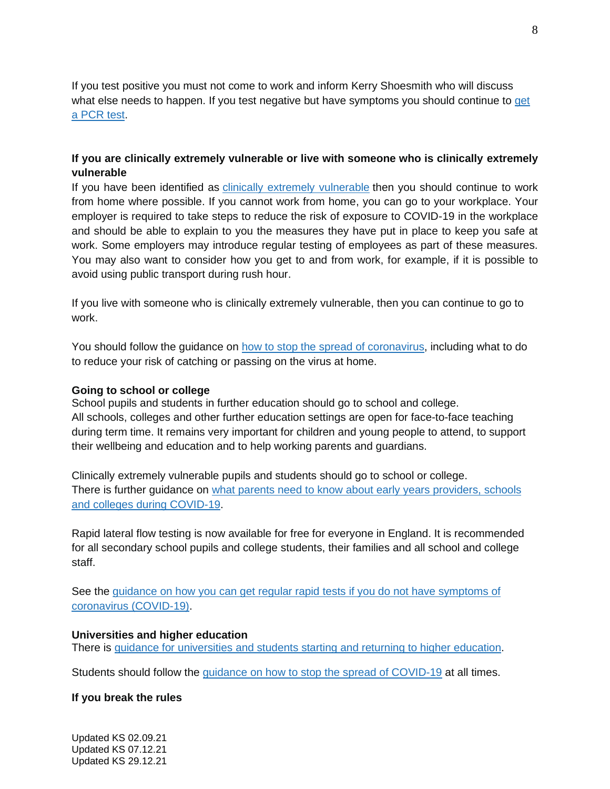If you test positive you must not come to work and inform Kerry Shoesmith who will discuss what else needs to happen. If you test negative but have symptoms you should continue to [get](https://www.gov.uk/get-coronavirus-test) a [PCR](https://www.gov.uk/get-coronavirus-test) test.

# **If you are clinically extremely vulnerable or live with someone who is clinically extremely vulnerable**

If you have been identified as clinically extremely [vulnerable](https://www.gov.uk/government/publications/guidance-on-shielding-and-protecting-extremely-vulnerable-persons-from-covid-19/guidance-on-shielding-and-protecting-extremely-vulnerable-persons-from-covid-19) then you should continue to work from home where possible. If you cannot work from home, you can go to your workplace. Your employer is required to take steps to reduce the risk of exposure to COVID-19 in the workplace and should be able to explain to you the measures they have put in place to keep you safe at work. Some employers may introduce regular testing of employees as part of these measures. You may also want to consider how you get to and from work, for example, if it is possible to avoid using public transport during rush hour.

If you live with someone who is clinically extremely vulnerable, then you can continue to go to work.

You should follow the guidance on how to stop the spread of [coronavirus,](https://www.gov.uk/government/publications/how-to-stop-the-spread-of-coronavirus-covid-19/how-to-stop-the-spread-of-coronavirus-covid-19) including what to do to reduce your risk of catching or passing on the virus at home.

#### **Going to school or college**

School pupils and students in further education should go to school and college. All schools, colleges and other further education settings are open for face-to-face teaching during term time. It remains very important for children and young people to attend, to support their wellbeing and education and to help working parents and guardians.

Clinically extremely vulnerable pupils and students should go to school or college. There is further guidance on what parents need to know about early years [providers,](https://www.gov.uk/government/publications/what-parents-and-carers-need-to-know-about-early-years-providers-schools-and-colleges-during-the-coronavirus-covid-19-outbreak/what-parents-need-to-know-about-early-years-providers-schools-and-colleges-during-covid-19) schools and colleges during [COVID-19.](https://www.gov.uk/government/publications/what-parents-and-carers-need-to-know-about-early-years-providers-schools-and-colleges-during-the-coronavirus-covid-19-outbreak/what-parents-need-to-know-about-early-years-providers-schools-and-colleges-during-covid-19)

Rapid lateral flow testing is now available for free for everyone in England. It is recommended for all secondary school pupils and college students, their families and all school and college staff.

See the guidance on how you can get regular rapid tests if you do not have [symptoms](https://www.nhs.uk/conditions/coronavirus-covid-19/testing/regular-rapid-coronavirus-tests-if-you-do-not-have-symptoms/) of coronavirus [\(COVID-19\).](https://www.nhs.uk/conditions/coronavirus-covid-19/testing/regular-rapid-coronavirus-tests-if-you-do-not-have-symptoms/)

#### **Universities and higher education**

There is guidance for [universities](https://www.gov.uk/government/publications/higher-education-reopening-buildings-and-campuses/students-returning-to-higher-education-from-spring-term) and students starting and returning to higher education.

Students should follow the *guidance on how to stop the spread of [COVID-19](https://www.gov.uk/government/publications/how-to-stop-the-spread-of-coronavirus-covid-19/how-to-stop-the-spread-of-coronavirus-covid-19)* at all times.

## **If you break the rules**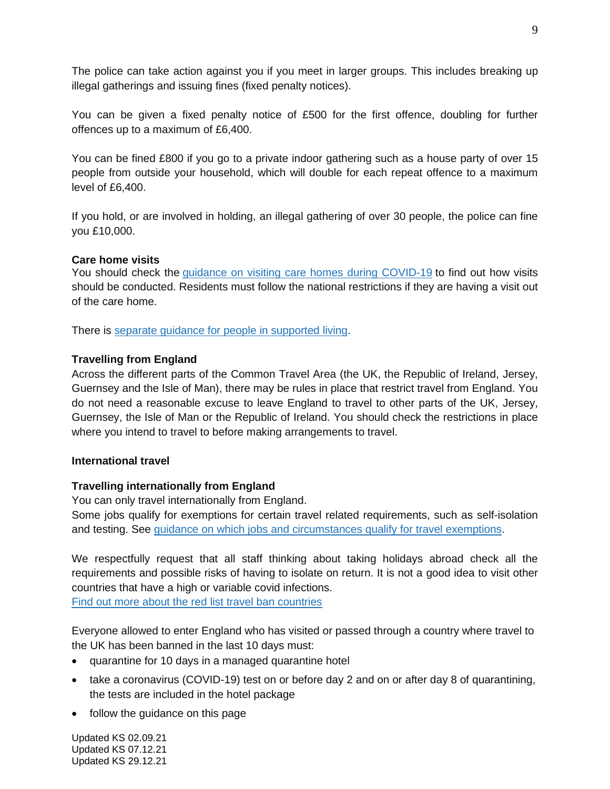The police can take action against you if you meet in larger groups. This includes breaking up illegal gatherings and issuing fines (fixed penalty notices).

You can be given a fixed penalty notice of £500 for the first offence, doubling for further offences up to a maximum of £6,400.

You can be fined £800 if you go to a private indoor gathering such as a house party of over 15 people from outside your household, which will double for each repeat offence to a maximum level of £6,400.

If you hold, or are involved in holding, an illegal gathering of over 30 people, the police can fine you £10,000.

#### **Care home visits**

You should check the *guidance on visiting care homes during [COVID-19](https://www.gov.uk/government/publications/visiting-care-homes-during-coronavirus/update-on-policies-for-visiting-arrangements-in-care-homes)* to find out how visits should be conducted. Residents must follow the national restrictions if they are having a visit out of the care home.

There is separate guidance for people in [supported](https://www.gov.uk/government/publications/supported-living-services-during-coronavirus-covid-19/covid-19-guidance-for-supported-living) living.

## **Travelling from England**

Across the different parts of the Common Travel Area (the UK, the Republic of Ireland, Jersey, Guernsey and the Isle of Man), there may be rules in place that restrict travel from England. You do not need a reasonable excuse to leave England to travel to other parts of the UK, Jersey, Guernsey, the Isle of Man or the Republic of Ireland. You should check the restrictions in place where you intend to travel to before making arrangements to travel.

#### **International travel**

## **Travelling internationally from England**

You can only travel internationally from England.

Some jobs qualify for exemptions for certain travel related requirements, such as self-isolation and testing. See guidance on which jobs and [circumstances](https://www.gov.uk/government/publications/coronavirus-covid-19-travellers-exempt-from-uk-border-rules/coronavirus-covid-19-travellers-exempt-from-uk-border-rules) qualify for travel exemptions.

We respectfully request that all staff thinking about taking holidays abroad check all the requirements and possible risks of having to isolate on return. It is not a good idea to visit other countries that have a high or variable covid infections.

Find out more about the red list travel ban [countries](https://www.gov.uk/guidance/transport-measures-to-protect-the-uk-from-variant-strains-of-covid-19)

Everyone allowed to enter England who has visited or passed through a country where travel to the UK has been banned in the last 10 days must:

- quarantine for 10 days in a managed quarantine hotel
- take a coronavirus (COVID-19) test on or before day 2 and on or after day 8 of quarantining, the tests are included in the hotel package
- follow the guidance on this page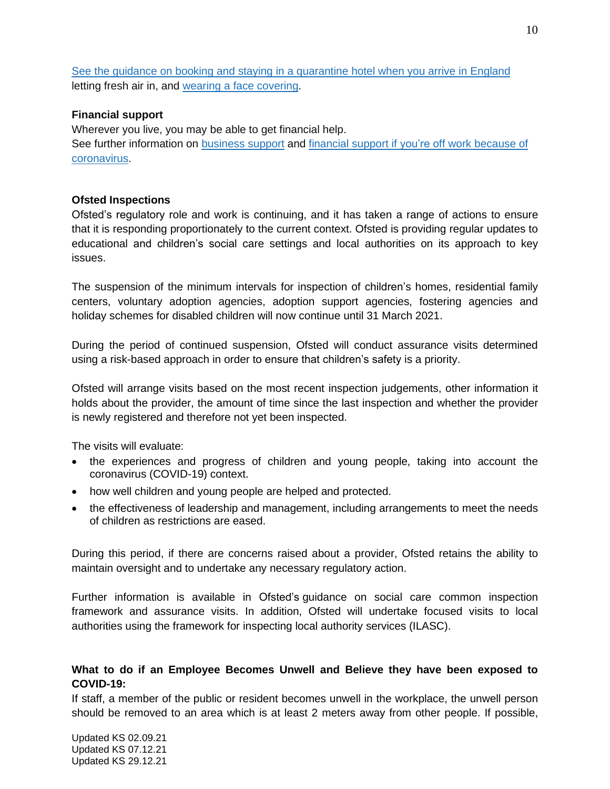See the guidance on booking and staying in a [quarantine](https://www.gov.uk/guidance/booking-and-staying-in-a-quarantine-hotel-when-you-arrive-in-england) hotel when you arrive in England letting fresh air in, and wearing a face [covering.](https://www.gov.uk/government/publications/face-coverings-when-to-wear-one-and-how-to-make-your-own/face-coverings-when-to-wear-one-and-how-to-make-your-own)

## **Financial support**

Wherever you live, you may be able to get financial help. See further information on [business](https://www.gov.uk/coronavirus/business-support) support and financial support if you're off work [because](https://www.gov.uk/guidance/coronavirus-covid-19-what-to-do-if-youre-employed-and-cannot-work) of [coronavirus.](https://www.gov.uk/guidance/coronavirus-covid-19-what-to-do-if-youre-employed-and-cannot-work)

## **Ofsted Inspections**

Ofsted's regulatory role and work is continuing, and it has taken a range of actions to ensure that it is responding proportionately to the current context. Ofsted is providing regular updates to educational and children's social care settings and local authorities on its approach to key issues.

The suspension of the minimum intervals for inspection of children's homes, residential family centers, voluntary adoption agencies, adoption support agencies, fostering agencies and holiday schemes for disabled children will now continue until 31 March 2021.

During the period of continued suspension, Ofsted will conduct assurance visits determined using a risk-based approach in order to ensure that children's safety is a priority.

Ofsted will arrange visits based on the most recent inspection judgements, other information it holds about the provider, the amount of time since the last inspection and whether the provider is newly registered and therefore not yet been inspected.

The visits will evaluate:

- the experiences and progress of children and young people, taking into account the coronavirus (COVID-19) context.
- how well children and young people are helped and protected.
- the effectiveness of leadership and management, including arrangements to meet the needs of children as restrictions are eased.

During this period, if there are concerns raised about a provider, Ofsted retains the ability to maintain oversight and to undertake any necessary regulatory action.

Further information is available in Ofsted's guidance on social care common [inspection](https://www.gov.uk/government/collections/social-care-common-inspection-framework-sccif) [framework](https://www.gov.uk/government/collections/social-care-common-inspection-framework-sccif) and assurance visits. In addition, Ofsted will undertake focused visits to local authorities using the [framework](https://www.gov.uk/government/publications/inspecting-local-authority-childrens-services-from-2018) for inspecting local authority services (ILASC).

# **What to do if an Employee Becomes Unwell and Believe they have been exposed to COVID-19:**

If staff, a member of the public or resident becomes unwell in the workplace, the unwell person should be removed to an area which is at least 2 meters away from other people. If possible,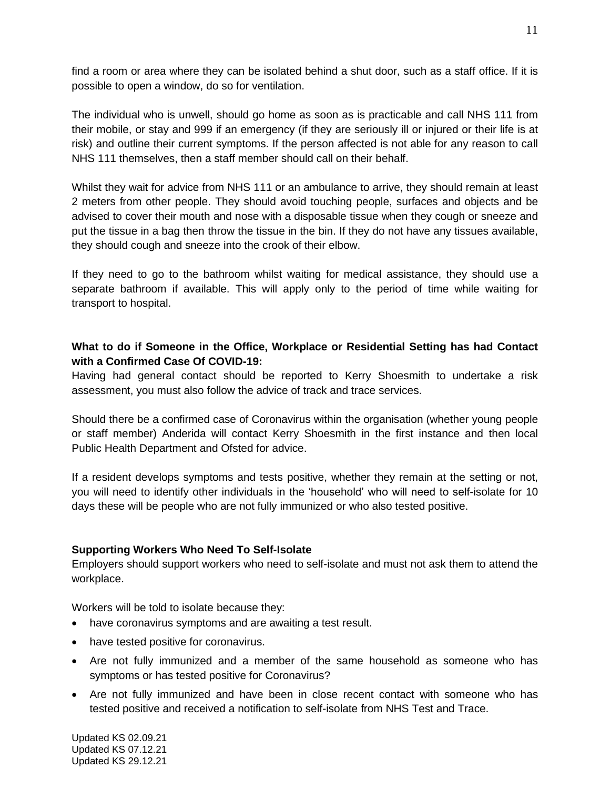find a room or area where they can be isolated behind a shut door, such as a staff office. If it is possible to open a window, do so for ventilation.

The individual who is unwell, should go home as soon as is practicable and call NHS 111 from their mobile, or stay and 999 if an emergency (if they are seriously ill or injured or their life is at risk) and outline their current symptoms. If the person affected is not able for any reason to call NHS 111 themselves, then a staff member should call on their behalf.

Whilst they wait for advice from NHS 111 or an ambulance to arrive, they should remain at least 2 meters from other people. They should avoid touching people, surfaces and objects and be advised to cover their mouth and nose with a disposable tissue when they cough or sneeze and put the tissue in a bag then throw the tissue in the bin. If they do not have any tissues available, they should cough and sneeze into the crook of their elbow.

If they need to go to the bathroom whilst waiting for medical assistance, they should use a separate bathroom if available. This will apply only to the period of time while waiting for transport to hospital.

# **What to do if Someone in the Office, Workplace or Residential Setting has had Contact with a Confirmed Case Of COVID-19:**

Having had general contact should be reported to Kerry Shoesmith to undertake a risk assessment, you must also follow the advice of track and trace services.

Should there be a confirmed case of Coronavirus within the organisation (whether young people or staff member) Anderida will contact Kerry Shoesmith in the first instance and then local Public Health Department and Ofsted for advice.

If a resident develops symptoms and tests positive, whether they remain at the setting or not, you will need to identify other individuals in the 'household' who will need to self-isolate for 10 days these will be people who are not fully immunized or who also tested positive.

## **Supporting Workers Who Need To Self-Isolate**

Employers should support workers who need to self-isolate and must not ask them to attend the workplace.

Workers will be told to isolate because they:

- have coronavirus symptoms and are awaiting a test result.
- have tested positive for coronavirus.
- Are not fully immunized and a member of the same household as someone who has symptoms or has tested positive for Coronavirus?
- Are not fully immunized and have been in close recent contact with someone who has tested positive and received a notification to self-isolate from NHS Test and Trace.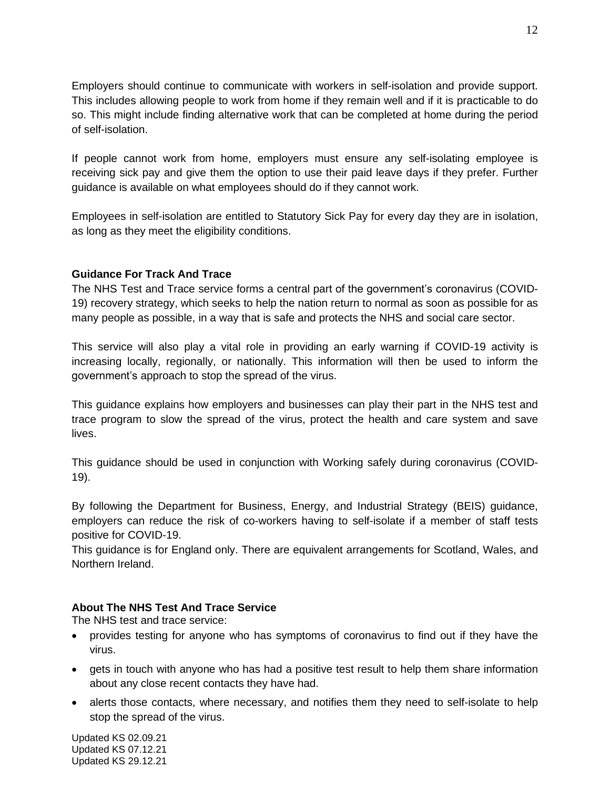Employers should continue to communicate with workers in self-isolation and provide support. This includes allowing people to work from home if they remain well and if it is practicable to do so. This might include finding alternative work that can be completed at home during the period of self-isolation.

If people cannot work from home, employers must ensure any self-isolating employee is receiving sick pay and give them the option to use their paid leave days if they prefer. Further guidance is available on what employees should do if they cannot work.

Employees in self-isolation are entitled to Statutory Sick Pay for every day they are in isolation, as long as they meet the eligibility conditions.

# **[Guidance](https://www.gov.uk/guidance/nhs-test-and-trace-workplace-guidance?utm_source=Email+Campaign&utm_medium=email&utm_campaign=41854-18623-CEO+members+information+28th+May+2020+PM#guidance-for-workers) For Track And Trace**

The NHS Test and Trace service forms a central part of the government's coronavirus (COVID-19) recovery strategy, which seeks to help the nation return to normal as soon as possible for as many people as possible, in a way that is safe and protects the NHS and social care sector.

This service will also play a vital role in providing an early warning if COVID-19 activity is increasing locally, regionally, or nationally. This information will then be used to inform the government's approach to stop the spread of the virus.

This guidance explains how employers and businesses can play their part in the NHS test and trace program to slow the spread of the virus, protect the health and care system and save lives.

This guidance should be used in conjunction with Working safely during [coronavirus](https://www.gov.uk/guidance/working-safely-during-coronavirus-covid-19) (COVID-[19\).](https://www.gov.uk/guidance/working-safely-during-coronavirus-covid-19)

By following the Department for Business, Energy, and Industrial Strategy (BEIS) guidance, employers can reduce the risk of co-workers having to self-isolate if a member of staff tests positive for COVID-19.

This guidance is for England only. There are equivalent arrangements for Scotland, Wales, and Northern Ireland.

# **About The NHS Test And Trace Service**

The NHS test and trace service:

- provides testing for anyone who has symptoms of coronavirus to find out if they have the virus.
- gets in touch with anyone who has had a positive test result to help them share information about any close recent contacts they have had.
- alerts those contacts, where necessary, and notifies them they need to self-isolate to help stop the spread of the virus.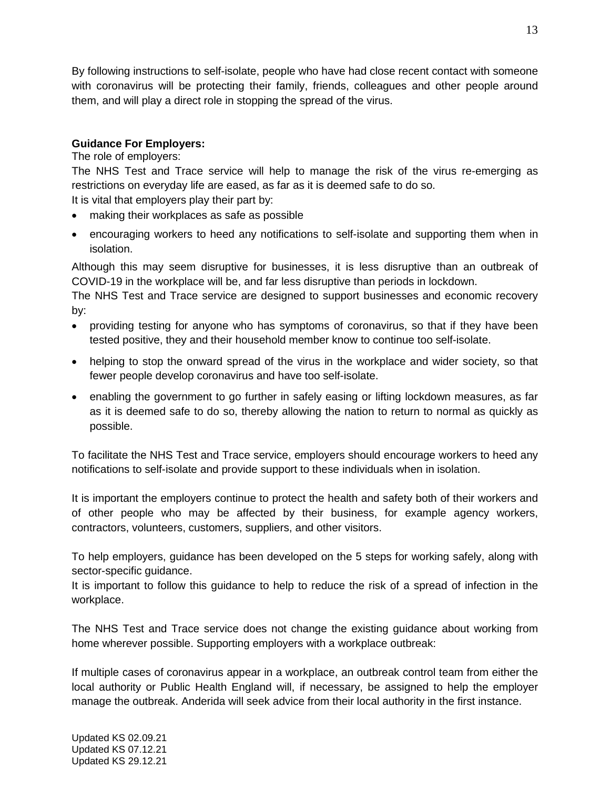By following instructions to self-isolate, people who have had close recent contact with someone with coronavirus will be protecting their family, friends, colleagues and other people around them, and will play a direct role in stopping the spread of the virus.

# **Guidance For Employers:**

## The role of employers:

The NHS Test and Trace service will help to manage the risk of the virus re-emerging as restrictions on everyday life are eased, as far as it is deemed safe to do so.

It is vital that employers play their part by:

- making their workplaces as safe as possible
- encouraging workers to heed any notifications to self-isolate and supporting them when in isolation.

Although this may seem disruptive for businesses, it is less disruptive than an outbreak of COVID-19 in the workplace will be, and far less disruptive than periods in lockdown.

The NHS Test and Trace service are designed to support businesses and economic recovery by:

- providing testing for anyone who has symptoms of coronavirus, so that if they have been tested positive, they and their household member know to continue too self-isolate.
- helping to stop the onward spread of the virus in the workplace and wider society, so that fewer people develop coronavirus and have too self-isolate.
- enabling the government to go further in safely easing or lifting lockdown measures, as far as it is deemed safe to do so, thereby allowing the nation to return to normal as quickly as possible.

To facilitate the NHS Test and Trace service, employers should encourage workers to heed any notifications to self-isolate and provide support to these individuals when in isolation.

It is important the employers continue to protect the health and safety both of their workers and of other people who may be affected by their business, for example agency workers, contractors, volunteers, customers, suppliers, and other visitors.

To help employers, guidance has been developed on the 5 steps for [working](https://www.gov.uk/guidance/working-safely-during-coronavirus-covid-19/5-steps-to-working-safely) safely, along with [sector-specific](https://www.gov.uk/guidance/working-safely-during-coronavirus-covid-19) guidance.

It is important to follow this guidance to help to reduce the risk of a spread of infection in the workplace.

The NHS Test and Trace service does not change the existing guidance about working from home wherever possible. Supporting employers with a workplace outbreak:

If multiple cases of coronavirus appear in a workplace, an outbreak control team from either the local authority or Public Health England will, if necessary, be assigned to help the employer manage the outbreak. Anderida will seek advice from their local authority in the first instance.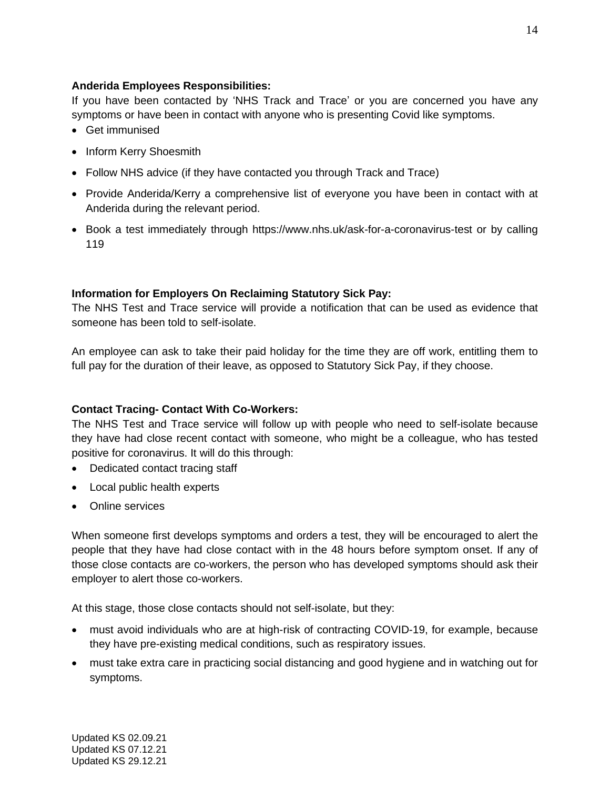# **Anderida Employees Responsibilities:**

If you have been contacted by 'NHS Track and Trace' or you are concerned you have any symptoms or have been in contact with anyone who is presenting Covid like symptoms.

- Get immunised
- Inform Kerry Shoesmith
- Follow NHS advice (if they have contacted you through Track and Trace)
- Provide Anderida/Kerry a comprehensive list of everyone you have been in contact with at Anderida during the relevant period.
- Book a test immediately through [https://www.nhs.uk/ask-for-a-coronavirus-test](https://www.nhs.uk/ask-for-a-coronavirus-test%20or%20by%20calling%20119) or by calling [119](https://www.nhs.uk/ask-for-a-coronavirus-test%20or%20by%20calling%20119)

## **[Information](https://www.gov.uk/guidance/claim-back-statutory-sick-pay-paid-to-your-employees-due-to-coronavirus-covid-19) for Employers On Reclaiming Statutory Sick Pay:**

The NHS Test and Trace service will provide a notification that can be used as evidence that someone has been told to self-isolate.

An employee can ask to take their paid holiday for the time they are off work, entitling them to full pay for the duration of their leave, as opposed to Statutory Sick Pay, if they choose.

## **Contact Tracing- Contact With Co-Workers:**

The NHS Test and Trace service will follow up with people who need to self-isolate because they have had close recent contact with someone, who might be a colleague, who has tested positive for coronavirus. It will do this through:

- Dedicated contact tracing staff
- Local public health experts
- Online services

When someone first develops symptoms and orders a test, they will be encouraged to alert the people that they have had close contact with in the 48 hours before symptom onset. If any of those close contacts are co-workers, the person who has developed symptoms should ask their employer to alert those co-workers.

At this stage, those close contacts should not self-isolate, but they:

- must avoid individuals who are at high-risk of contracting COVID-19, for example, because they have pre-existing medical conditions, such as respiratory issues.
- must take extra care in practicing social distancing and good hygiene and in watching out for symptoms.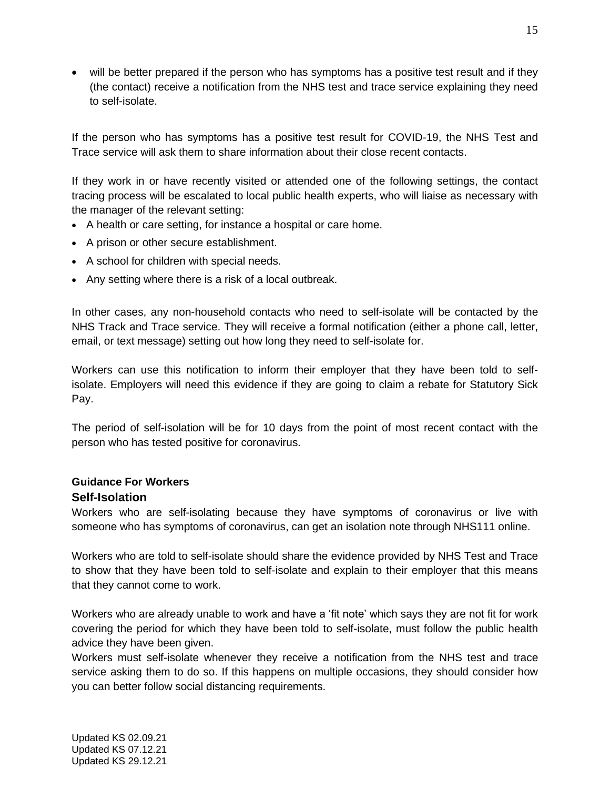• will be better prepared if the person who has symptoms has a positive test result and if they (the contact) receive a notification from the NHS test and trace service explaining they need to self-isolate.

If the person who has symptoms has a positive test result for COVID-19, the NHS Test and Trace service will ask them to share information about their close recent contacts.

If they work in or have recently visited or attended one of the following settings, the contact tracing process will be escalated to local public health experts, who will liaise as necessary with the manager of the relevant setting:

- A health or care setting, for instance a hospital or care home.
- A prison or other secure establishment.
- A school for children with special needs.
- Any setting where there is a risk of a local outbreak.

In other cases, any non-household contacts who need to self-isolate will be contacted by the NHS Track and Trace service. They will receive a formal notification (either a phone call, letter, email, or text message) setting out how long they need to self-isolate for.

Workers can use this notification to inform their employer that they have been told to selfisolate. Employers will need this evidence if they are going to claim a rebate for Statutory Sick Pay.

The period of self-isolation will be for 10 days from the point of most recent contact with the person who has tested positive for coronavirus.

# **Guidance For Workers Self-Isolation**

Workers who are self-isolating because they have symptoms of coronavirus or live with someone who has symptoms of coronavirus, can get an isolation note through NHS111 online.

Workers who are told to self-isolate should share the evidence provided by NHS Test and Trace to show that they have been told to self-isolate and explain to their employer that this means that they cannot come to work.

Workers who are already unable to work and have a 'fit note' which says they are not fit for work covering the period for which they have been told to self-isolate, must follow the public health advice they have been given.

Workers must self-isolate whenever they receive a notification from the NHS test and trace service asking them to do so. If this happens on multiple occasions, they should consider how you can better follow social distancing requirements.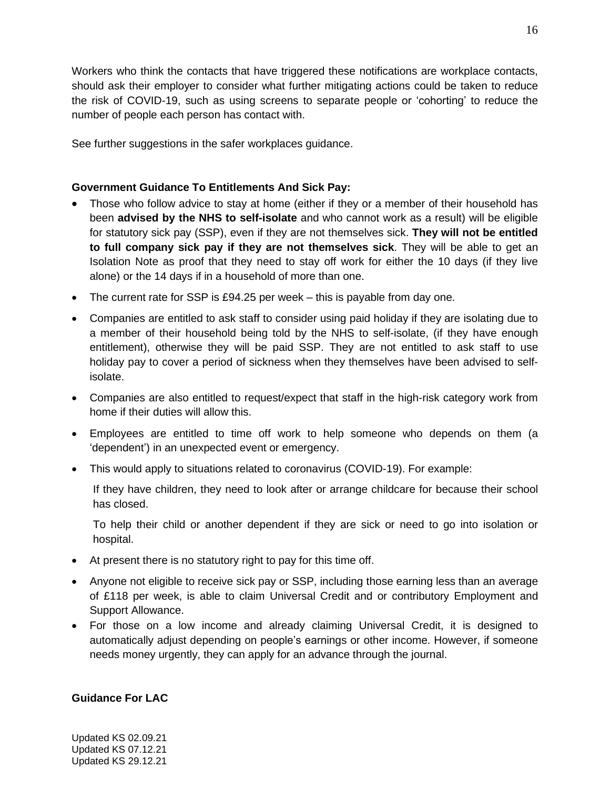Workers who think the contacts that have triggered these notifications are workplace contacts, should ask their employer to consider what further mitigating actions could be taken to reduce the risk of COVID-19, such as using screens to separate people or 'cohorting' to reduce the number of people each person has contact with.

See further suggestions in the safer [workplaces](https://www.gov.uk/guidance/working-safely-during-coronavirus-covid-19) guidance.

# **Government Guidance To Entitlements And Sick Pay:**

- Those who follow advice to stay at home (either if they or a member of their household has been **advised by the NHS to self-isolate** and who cannot work as a result) will be eligible for statutory sick pay (SSP), even if they are not themselves sick. **They will not be entitled to full company sick pay if they are not themselves sick**. They will be able to get an Isolation Note as proof that they need to stay off work for either the 10 days (if they live alone) or the 14 days if in a household of more than one.
- The current rate for SSP is £94.25 per week this is payable from day one.
- Companies are entitled to ask staff to consider using paid holiday if they are isolating due to a member of their household being told by the NHS to self-isolate, (if they have enough entitlement), otherwise they will be paid SSP. They are not entitled to ask staff to use holiday pay to cover a period of sickness when they themselves have been advised to selfisolate.
- Companies are also entitled to request/expect that staff in the high-risk category work from home if their duties will allow this.
- Employees are entitled to time off work to help someone who depends on them (a 'dependent') in an [unexpected](https://anderidacare-my.sharepoint.com/personal/jane_bettley_anderidacare_co_uk/Documents/Kerry%20Goddard.docx?web=1) event or emergency.
- This would apply to situations related to coronavirus (COVID-19). For example:

If they have children, they need to look after or arrange childcare for because their school has closed.

To help their child or another dependent if they are sick or need to go into isolation or hospital.

- At present there is no statutory right to pay for this time off.
- Anyone not eligible to receive sick pay or SSP, including those earning less than an average of £118 per week, is able to claim [Universal Credit](https://www.understandinguniversalcredit.gov.uk/coronavirus/) and or contributory Employment and Support Allowance.
- For those on a low income and already claiming Universal Credit, it is designed to automatically adjust depending on people's earnings or other income. However, if someone needs money urgently, they can apply for an advance through the journal.

## **Guidance For LAC**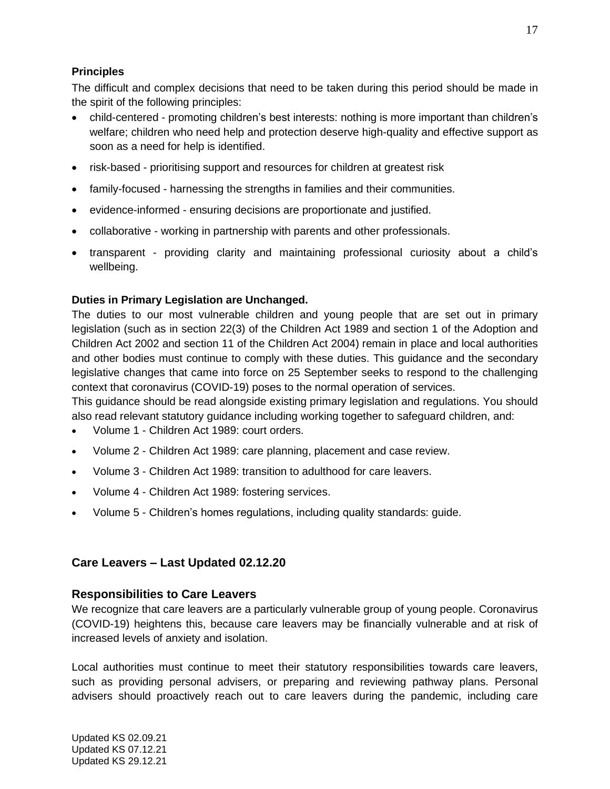# **Principles**

The difficult and complex decisions that need to be taken during this period should be made in the spirit of the following principles:

- child-centered promoting children's best interests: nothing is more important than children's welfare; children who need help and protection deserve high-quality and effective support as soon as a need for help is identified.
- risk-based prioritising support and resources for children at greatest risk
- family-focused harnessing the strengths in families and their communities.
- evidence-informed ensuring decisions are proportionate and justified.
- collaborative working in partnership with parents and other professionals.
- transparent providing clarity and maintaining professional curiosity about a child's wellbeing.

# **Duties in Primary Legislation are Unchanged.**

The duties to our most vulnerable children and young people that are set out in primary legislation (such as in section 22(3) of the Children Act 1989 and section 1 of the Adoption and Children Act 2002 and section 11 of the Children Act 2004) remain in place and local authorities and other bodies must continue to comply with these duties. This guidance and the secondary legislative changes that came into force on 25 September seeks to respond to the challenging context that coronavirus (COVID-19) poses to the normal operation of services.

This guidance should be read alongside existing primary legislation and regulations. You should also read relevant statutory guidance including working together to [safeguard](https://www.gov.uk/government/publications/working-together-to-safeguard-children--2) children, and:

- Volume 1 Children Act 1989: court orders.
- Volume 2 Children Act 1989: care planning, placement and case review.
- Volume 3 Children Act 1989: transition to adulthood for care leavers.
- Volume 4 Children Act 1989: fostering services.
- Volume 5 Children's homes regulations, including quality standards: guide.

# **Care Leavers – Last Updated 02.12.20**

## **Responsibilities to Care Leavers**

We recognize that care leavers are a particularly vulnerable group of young people. Coronavirus (COVID-19) heightens this, because care leavers may be financially vulnerable and at risk of increased levels of anxiety and isolation.

Local authorities must continue to meet their statutory responsibilities towards care leavers, such as providing personal advisers, or preparing and reviewing pathway plans. Personal advisers should proactively reach out to care leavers during the pandemic, including care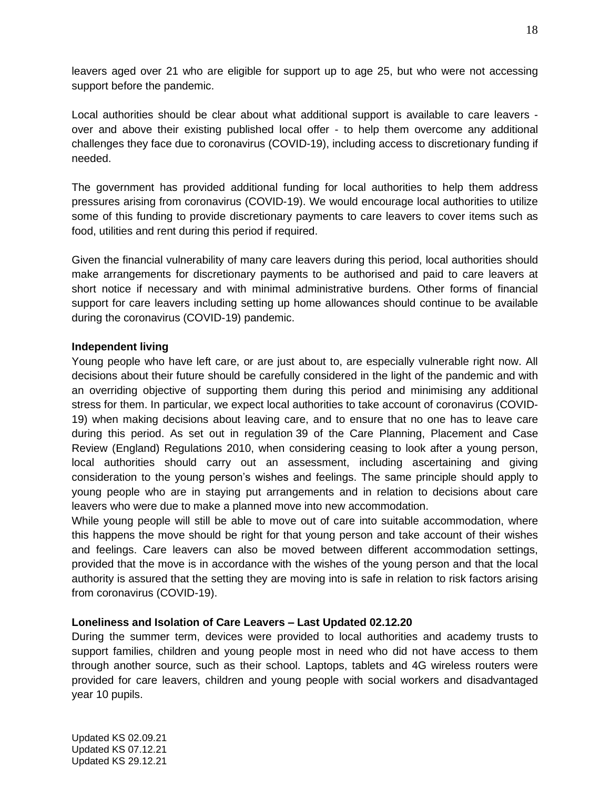leavers aged over 21 who are eligible for support up to age 25, but who were not accessing support before the pandemic.

Local authorities should be clear about what additional support is available to care leavers over and above their existing published local offer - to help them overcome any additional challenges they face due to coronavirus (COVID-19), including access to discretionary funding if needed.

The government has provided additional funding for local authorities to help them address pressures arising from coronavirus (COVID-19). We would encourage local authorities to utilize some of this funding to provide discretionary payments to care leavers to cover items such as food, utilities and rent during this period if required.

Given the financial vulnerability of many care leavers during this period, local authorities should make arrangements for discretionary payments to be authorised and paid to care leavers at short notice if necessary and with minimal administrative burdens. Other forms of financial support for care leavers including setting up home allowances should continue to be available during the coronavirus (COVID-19) pandemic.

#### **Independent living**

Young people who have left care, or are just about to, are especially vulnerable right now. All decisions about their future should be carefully considered in the light of the pandemic and with an overriding objective of supporting them during this period and minimising any additional stress for them. In particular, we expect local authorities to take account of coronavirus (COVID-19) when making decisions about leaving care, and to ensure that no one has to leave care during this period. As set out in regulation 39 of the Care Planning, [Placement](https://www.legislation.gov.uk/uksi/2010/959/regulation/39/made) and Case Review (England) [Regulations](https://www.legislation.gov.uk/uksi/2010/959/regulation/39/made) 2010, when considering ceasing to look after a young person, local authorities should carry out an assessment, including ascertaining and giving consideration to the young person's wishes and feelings. The same principle should apply to young people who are in staying put arrangements and in relation to decisions about care leavers who were due to make a planned move into new accommodation.

While young people will still be able to move out of care into suitable accommodation, where this happens the move should be right for that young person and take account of their wishes and feelings. Care leavers can also be moved between different accommodation settings, provided that the move is in accordance with the wishes of the young person and that the local authority is assured that the setting they are moving into is safe in relation to risk factors arising from coronavirus (COVID-19).

## **Loneliness and Isolation of Care Leavers – Last Updated 02.12.20**

During the summer term, devices were provided to local authorities and academy trusts to support families, children and young people most in need who did not have access to them through another source, such as their school. Laptops, tablets and 4G wireless routers were provided for care leavers, children and young people with social workers and disadvantaged year 10 pupils.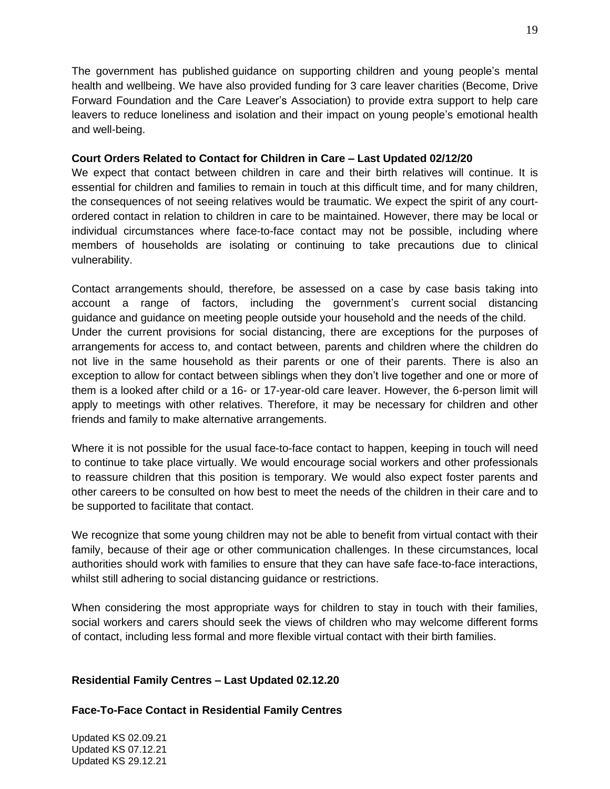The government has published guidance on [supporting](https://www.gov.uk/government/publications/covid-19-guidance-on-supporting-children-and-young-peoples-mental-health-and-wellbeing) children and young people's mental health and [wellbeing.](https://www.gov.uk/government/publications/covid-19-guidance-on-supporting-children-and-young-peoples-mental-health-and-wellbeing) We have also provided funding for 3 care leaver charities (Become, Drive Forward Foundation and the Care Leaver's Association) to provide extra support to help care leavers to reduce loneliness and isolation and their impact on young people's emotional health and well-being.

## **Court Orders Related to Contact for Children in Care – Last Updated 02/12/20**

We expect that contact between children in care and their birth relatives will continue. It is essential for children and families to remain in touch at this difficult time, and for many children, the consequences of not seeing relatives would be traumatic. We expect the spirit of any courtordered contact in relation to children in care to be maintained. However, there may be local or individual circumstances where face-to-face contact may not be possible, including where members of households are isolating or continuing to take precautions due to clinical vulnerability.

Contact arrangements should, therefore, be assessed on a case by case basis taking into account a range of factors, including the government's current social [distancing](https://www.gov.uk/government/publications/staying-alert-and-safe-social-distancing/staying-alert-and-safe-social-distancing-after-4-july) [guidance](https://www.gov.uk/government/publications/staying-alert-and-safe-social-distancing/staying-alert-and-safe-social-distancing-after-4-july) and guidance on meeting people outside your [household](https://www.gov.uk/guidance/meeting-people-from-outside-your-household-from-4-july) and the needs of the child. Under the current provisions for social distancing, there are exceptions for the purposes of arrangements for access to, and contact between, parents and children where the children do not live in the same household as their parents or one of their parents. There is also an exception to allow for contact between siblings when they don't live together and one or more of them is a looked after child or a 16- or 17-year-old care leaver. However, the 6-person limit will apply to meetings with other relatives. Therefore, it may be necessary for children and other friends and family to make alternative arrangements.

Where it is not possible for the usual face-to-face contact to happen, keeping in touch will need to continue to take place virtually. We would encourage social workers and other professionals to reassure children that this position is temporary. We would also expect foster parents and other careers to be consulted on how best to meet the needs of the children in their care and to be supported to facilitate that contact.

We recognize that some young children may not be able to benefit from virtual contact with their family, because of their age or other communication challenges. In these circumstances, local authorities should work with families to ensure that they can have safe face-to-face interactions, whilst still adhering to social distancing guidance or restrictions.

When considering the most appropriate ways for children to stay in touch with their families, social workers and carers should seek the views of children who may welcome different forms of contact, including less formal and more flexible virtual contact with their birth families.

# **Residential Family Centres – Last Updated 02.12.20**

**Face-To-Face Contact in Residential Family Centres**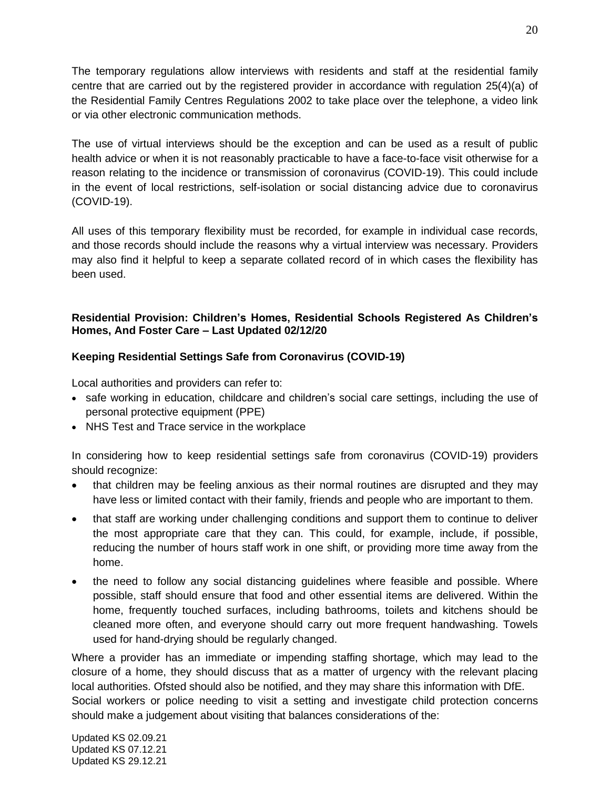The temporary regulations allow interviews with residents and staff at the residential family centre that are carried out by the registered provider in accordance with regulation 25(4)(a) of the Residential Family Centres Regulations 2002 to take place over the telephone, a video link or via other electronic communication methods.

The use of virtual interviews should be the exception and can be used as a result of public health advice or when it is not reasonably practicable to have a face-to-face visit otherwise for a reason relating to the incidence or transmission of coronavirus (COVID-19). This could include in the event of local restrictions, self-isolation or social distancing advice due to coronavirus (COVID-19).

All uses of this temporary flexibility must be recorded, for example in individual case records, and those records should include the reasons why a virtual interview was necessary. Providers may also find it helpful to keep a separate collated record of in which cases the flexibility has been used.

# **Residential Provision: Children's Homes, Residential Schools Registered As Children's Homes, And Foster Care – Last Updated 02/12/20**

# **Keeping Residential Settings Safe from Coronavirus (COVID-19)**

Local authorities and providers can refer to:

- safe working in [education,](https://www.gov.uk/government/publications/safe-working-in-education-childcare-and-childrens-social-care/safe-working-in-education-childcare-and-childrens-social-care-settings-including-the-use-of-personal-protective-equipment-ppe) childcare and children's social care settings, including the use of personal protective [equipment](https://www.gov.uk/government/publications/safe-working-in-education-childcare-and-childrens-social-care/safe-working-in-education-childcare-and-childrens-social-care-settings-including-the-use-of-personal-protective-equipment-ppe) (PPE)
- NHS Test and Trace service in the [workplace](https://www.gov.uk/guidance/nhs-test-and-trace-workplace-guidance)

In considering how to keep residential settings safe from coronavirus (COVID-19) providers should recognize:

- that children may be feeling anxious as their normal routines are disrupted and they may have less or limited contact with their family, friends and people who are important to them.
- that staff are working under challenging conditions and support them to continue to deliver the most appropriate care that they can. This could, for example, include, if possible, reducing the number of hours staff work in one shift, or providing more time away from the home.
- the need to follow any social distancing guidelines where feasible and possible. Where possible, staff should ensure that food and other essential items are delivered. Within the home, frequently touched surfaces, including bathrooms, toilets and kitchens should be cleaned more often, and everyone should carry out more frequent handwashing. Towels used for hand-drying should be regularly changed.

Where a provider has an immediate or impending staffing shortage, which may lead to the closure of a home, they should discuss that as a matter of urgency with the relevant placing local authorities. Ofsted should also be notified, and they may share this information with DfE. Social workers or police needing to visit a setting and investigate child protection concerns should make a judgement about visiting that balances considerations of the: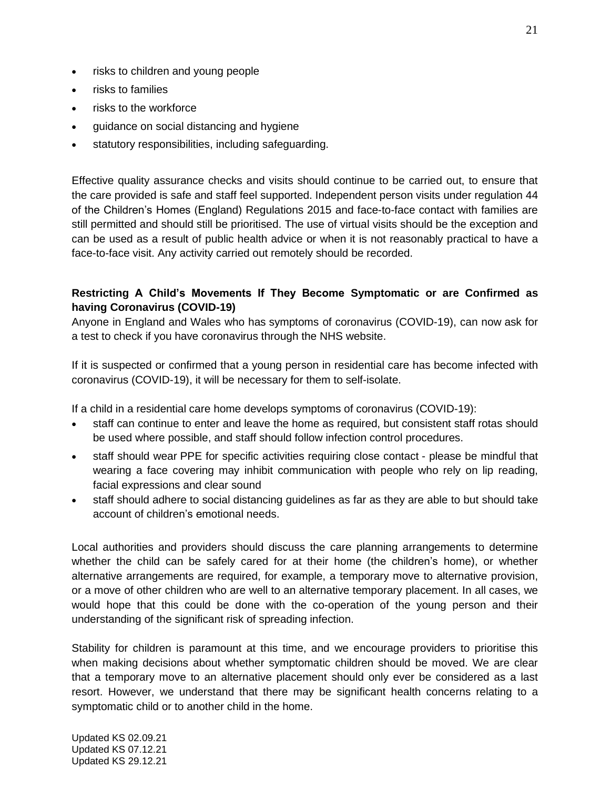- risks to children and young people
- risks to families
- risks to the workforce
- guidance on social distancing and hygiene
- statutory responsibilities, including safeguarding.

Effective quality assurance checks and visits should continue to be carried out, to ensure that the care provided is safe and staff feel supported. Independent person visits under regulation 44 of the Children's Homes (England) Regulations 2015 and face-to-face contact with families are still permitted and should still be prioritised. The use of virtual visits should be the exception and can be used as a result of public health advice or when it is not reasonably practical to have a face-to-face visit. Any activity carried out remotely should be recorded.

# **Restricting A Child's Movements If They Become Symptomatic or are Confirmed as having Coronavirus (COVID-19)**

Anyone in England and Wales who has symptoms of coronavirus [\(COVID-19\),](https://www.nhs.uk/conditions/coronavirus-covid-19/symptoms/) can now [ask](https://www.nhs.uk/conditions/coronavirus-covid-19/testing-and-tracing/ask-for-a-test-to-check-if-you-have-coronavirus/) for a test to check if you have [coronavirus](https://www.nhs.uk/conditions/coronavirus-covid-19/testing-and-tracing/ask-for-a-test-to-check-if-you-have-coronavirus/) through the NHS website.

If it is suspected or confirmed that a young person in residential care has become infected with coronavirus (COVID-19), it will be necessary for them to self-isolate.

If a child in a residential care home develops symptoms of coronavirus (COVID-19):

- staff can continue to enter and leave the home as required, but consistent staff rotas should be used where possible, and staff should follow infection control procedures.
- staff should wear PPE for specific activities [requiring](https://www.gov.uk/government/publications/safe-working-in-education-childcare-and-childrens-social-care/safe-working-in-education-childcare-and-childrens-social-care-settings-including-the-use-of-personal-protective-equipment-ppe) close contact please be mindful that wearing a face covering may inhibit communication with people who rely on lip reading, facial expressions and clear sound
- staff should adhere to social distancing guidelines as far as they are able to but should take account of children's emotional needs.

Local authorities and providers should discuss the care planning arrangements to determine whether the child can be safely cared for at their home (the children's home), or whether alternative arrangements are required, for example, a temporary move to alternative provision, or a move of other children who are well to an alternative temporary placement. In all cases, we would hope that this could be done with the co-operation of the young person and their understanding of the significant risk of spreading infection.

Stability for children is paramount at this time, and we encourage providers to prioritise this when making decisions about whether symptomatic children should be moved. We are clear that a temporary move to an alternative placement should only ever be considered as a last resort. However, we understand that there may be significant health concerns relating to a symptomatic child or to another child in the home.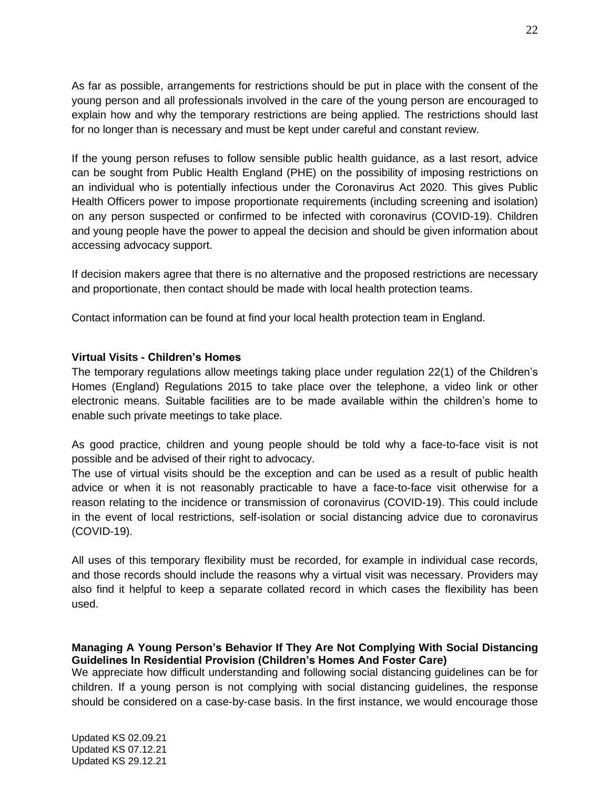As far as possible, arrangements for restrictions should be put in place with the consent of the young person and all professionals involved in the care of the young person are encouraged to explain how and why the temporary restrictions are being applied. The restrictions should last for no longer than is necessary and must be kept under careful and constant review.

If the young person refuses to follow sensible public health guidance, as a last resort, advice can be sought from Public Health England (PHE) on the possibility of imposing restrictions on an individual who is potentially infectious under the Coronavirus Act 2020. This gives Public Health Officers power to impose proportionate requirements (including screening and isolation) on any person suspected or confirmed to be infected with coronavirus (COVID-19). Children and young people have the power to appeal the decision and should be given information about accessing advocacy support.

If decision makers agree that there is no alternative and the proposed restrictions are necessary and proportionate, then contact should be made with local health protection teams.

Contact information can be found at find your local health [protection](https://www.gov.uk/health-protection-team) team in England.

## **Virtual Visits - Children's Homes**

The temporary regulations allow meetings taking place under regulation 22(1) of the Children's Homes (England) Regulations 2015 to take place over the telephone, a video link or other electronic means. Suitable facilities are to be made available within the children's home to enable such private meetings to take place.

As good practice, children and young people should be told why a face-to-face visit is not possible and be advised of their right to advocacy.

The use of virtual visits should be the exception and can be used as a result of public health advice or when it is not reasonably practicable to have a face-to-face visit otherwise for a reason relating to the incidence or transmission of coronavirus (COVID-19). This could include in the event of local restrictions, self-isolation or social distancing advice due to coronavirus (COVID-19).

All uses of this temporary flexibility must be recorded, for example in individual case records, and those records should include the reasons why a virtual visit was necessary. Providers may also find it helpful to keep a separate collated record in which cases the flexibility has been used.

## **Managing A Young Person's Behavior If They Are Not Complying With Social Distancing Guidelines In Residential Provision (Children's Homes And Foster Care)**

We appreciate how difficult understanding and following social distancing guidelines can be for children. If a young person is not complying with social distancing guidelines, the response should be considered on a case-by-case basis. In the first instance, we would encourage those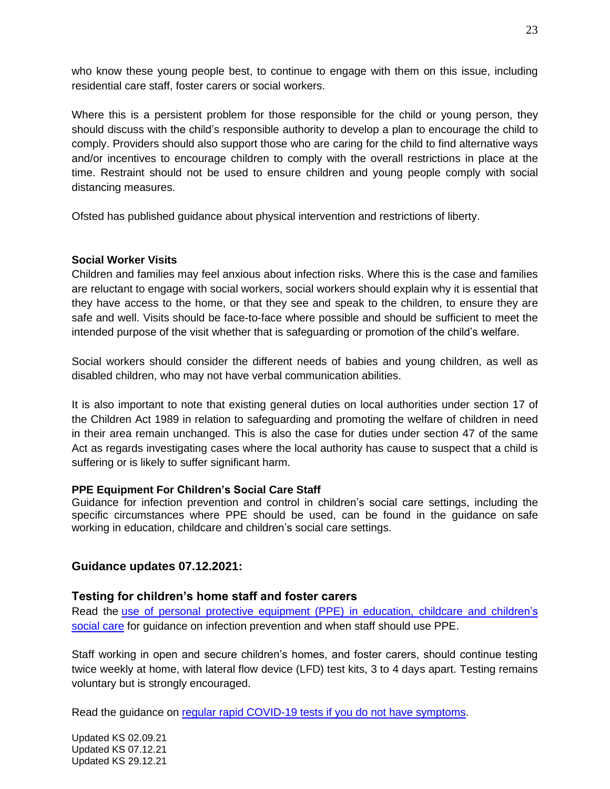who know these young people best, to continue to engage with them on this issue, including residential care staff, foster carers or social workers.

Where this is a persistent problem for those responsible for the child or young person, they should discuss with the child's responsible authority to develop a plan to encourage the child to comply. Providers should also support those who are caring for the child to find alternative ways and/or incentives to encourage children to comply with the overall restrictions in place at the time. Restraint should not be used to ensure children and young people comply with social distancing measures.

Ofsted has published guidance about physical [intervention](https://www.gov.uk/government/publications/positive-environments-where-children-can-flourish) and restrictions of liberty.

#### **Social Worker Visits**

Children and families may feel anxious about infection risks. Where this is the case and families are reluctant to engage with social workers, social workers should explain why it is essential that they have access to the home, or that they see and speak to the children, to ensure they are safe and well. Visits should be face-to-face where possible and should be sufficient to meet the intended purpose of the visit whether that is safeguarding or promotion of the child's welfare.

Social workers should consider the different needs of babies and young children, as well as disabled children, who may not have verbal communication abilities.

It is also important to note that existing general duties on local authorities under section 17 of the Children Act 1989 in relation to safeguarding and promoting the welfare of children in need in their area remain unchanged. This is also the case for duties under section 47 of the same Act as regards investigating cases where the local authority has cause to suspect that a child is suffering or is likely to suffer significant harm.

#### **PPE Equipment For Children's Social Care Staff**

Guidance for infection prevention and control in children's social care settings, including the specific circumstances where PPE should be used, can be found in the guidance on [safe](https://www.gov.uk/government/publications/safe-working-in-education-childcare-and-childrens-social-care/safe-working-in-education-childcare-and-childrens-social-care-settings-including-the-use-of-personal-protective-equipment-ppe) working in [education,](https://www.gov.uk/government/publications/safe-working-in-education-childcare-and-childrens-social-care/safe-working-in-education-childcare-and-childrens-social-care-settings-including-the-use-of-personal-protective-equipment-ppe) childcare and children's social care settings.

## **Guidance updates 07.12.2021:**

## **Testing for children's home staff and foster carers**

Read the [use of personal protective equipment \(PPE\) in education, childcare and children's](https://www.gov.uk/government/publications/safe-working-in-education-childcare-and-childrens-social-care)  [social care](https://www.gov.uk/government/publications/safe-working-in-education-childcare-and-childrens-social-care) for guidance on infection prevention and when staff should use PPE.

Staff working in open and secure children's homes, and foster carers, should continue testing twice weekly at home, with lateral flow device (LFD) test kits, 3 to 4 days apart. Testing remains voluntary but is strongly encouraged.

Read the guidance on [regular rapid COVID-19 tests if you](https://www.nhs.uk/conditions/coronavirus-covid-19/testing/regular-rapid-coronavirus-tests-if-you-do-not-have-symptoms/) do not have symptoms.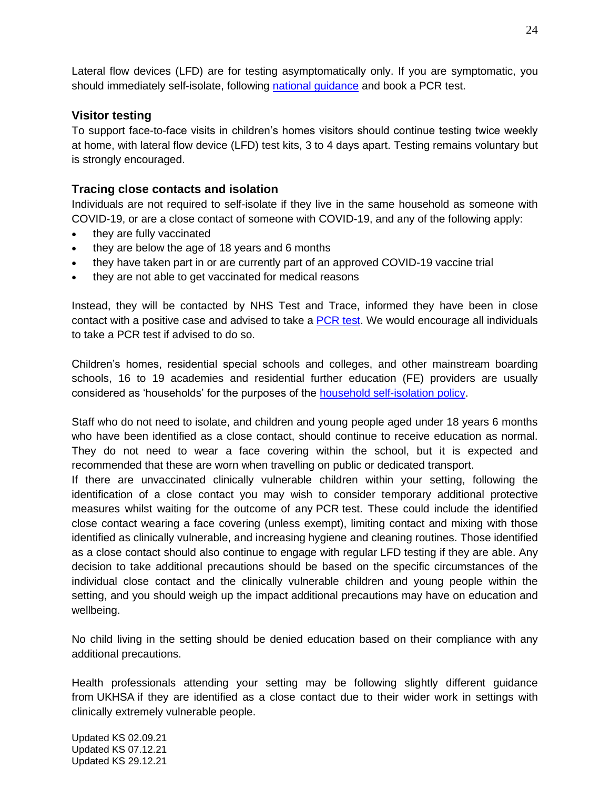Lateral flow devices (LFD) are for testing asymptomatically only. If you are symptomatic, you should immediately self-isolate, following [national guidance](https://www.nhs.uk/conditions/coronavirus-covid-19/self-isolation-and-treatment/when-to-self-isolate-and-what-to-do/) and book a PCR test.

# **Visitor testing**

To support face-to-face visits in children's homes visitors should continue testing twice weekly at home, with lateral flow device (LFD) test kits, 3 to 4 days apart. Testing remains voluntary but is strongly encouraged.

# **Tracing close contacts and isolation**

Individuals are not required to self-isolate if they live in the same household as someone with COVID-19, or are a close contact of someone with COVID-19, and any of the following apply:

- they are fully vaccinated
- they are below the age of 18 years and 6 months
- they have taken part in or are currently part of an approved COVID-19 vaccine trial
- they are not able to get vaccinated for medical reasons

Instead, they will be contacted by NHS Test and Trace, informed they have been in close contact with a positive case and advised to take a [PCR](https://www.gov.uk/get-coronavirus-test) test. We would encourage all individuals to take a PCR test if advised to do so.

Children's homes, residential special schools and colleges, and other mainstream boarding schools, 16 to 19 academies and residential further education (FE) providers are usually considered as 'households' for the purposes of the [household self-isolation policy.](https://www.gov.uk/government/publications/covid-19-stay-at-home-guidance)

Staff who do not need to isolate, and children and young people aged under 18 years 6 months who have been identified as a close contact, should continue to receive education as normal. They do not need to wear a face covering within the school, but it is expected and recommended that these are worn when travelling on public or dedicated transport.

If there are unvaccinated clinically vulnerable children within your setting, following the identification of a close contact you may wish to consider temporary additional protective measures whilst waiting for the outcome of any PCR test. These could include the identified close contact wearing a face covering (unless exempt), limiting contact and mixing with those identified as clinically vulnerable, and increasing hygiene and cleaning routines. Those identified as a close contact should also continue to engage with regular LFD testing if they are able. Any decision to take additional precautions should be based on the specific circumstances of the individual close contact and the clinically vulnerable children and young people within the setting, and you should weigh up the impact additional precautions may have on education and wellbeing.

No child living in the setting should be denied education based on their compliance with any additional precautions.

Health professionals attending your setting may be following slightly different guidance from UKHSA if they are identified as a close contact due to their wider work in settings with clinically extremely vulnerable people.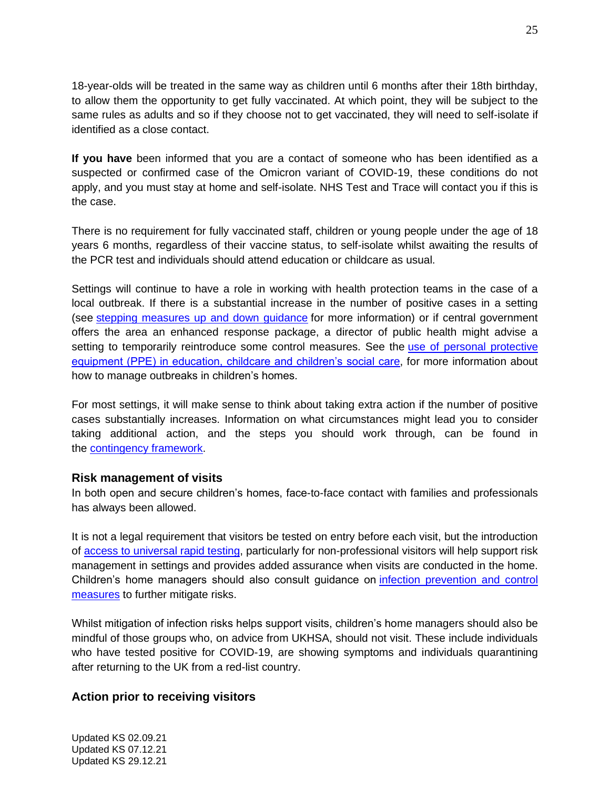18-year-olds will be treated in the same way as children until 6 months after their 18th birthday, to allow them the opportunity to get fully vaccinated. At which point, they will be subject to the same rules as adults and so if they choose not to get vaccinated, they will need to self-isolate if identified as a close contact.

**If you have** been informed that you are a contact of someone who has been identified as a suspected or confirmed case of the Omicron variant of COVID-19, these conditions do not apply, and you must stay at home and self-isolate. NHS Test and Trace will contact you if this is the case.

There is no requirement for fully vaccinated staff, children or young people under the age of 18 years 6 months, regardless of their vaccine status, to self-isolate whilst awaiting the results of the PCR test and individuals should attend education or childcare as usual.

Settings will continue to have a role in working with health protection teams in the case of a local outbreak. If there is a substantial increase in the number of positive cases in a setting (see [stepping measures up and down guidance](https://www.gov.uk/government/publications/actions-for-schools-during-the-coronavirus-outbreak/schools-covid-19-operational-guidance#stepping-measures-up-and-down) for more information) or if central government offers the area an enhanced response package, a director of public health might advise a setting to temporarily reintroduce some control measures. See the [use of personal protective](https://www.gov.uk/government/publications/safe-working-in-education-childcare-and-childrens-social-care)  [equipment \(PPE\) in education, childcare and children's social care,](https://www.gov.uk/government/publications/safe-working-in-education-childcare-and-childrens-social-care) for more information about how to manage outbreaks in children's homes.

For most settings, it will make sense to think about taking extra action if the number of positive cases substantially increases. Information on what circumstances might lead you to consider taking additional action, and the steps you should work through, can be found in the [contingency framework.](https://www.gov.uk/government/publications/coronavirus-covid-19-local-restrictions-in-education-and-childcare-settings/contingency-framework-education-and-childcare-settings)

## **Risk management of visits**

In both open and secure children's homes, face-to-face contact with families and professionals has always been allowed.

It is not a legal requirement that visitors be tested on entry before each visit, but the introduction of [access to universal rapid testing,](https://www.gov.uk/order-coronavirus-rapid-lateral-flow-tests) particularly for non-professional visitors will help support risk management in settings and provides added assurance when visits are conducted in the home. Children's home managers should also consult guidance on [infection prevention and control](https://www.gov.uk/government/publications/safe-working-in-education-childcare-and-childrens-social-care/safe-working-in-education-childcare-and-childrens-social-care-settings-including-the-use-of-personal-protective-equipment-ppe)  [measures](https://www.gov.uk/government/publications/safe-working-in-education-childcare-and-childrens-social-care/safe-working-in-education-childcare-and-childrens-social-care-settings-including-the-use-of-personal-protective-equipment-ppe) to further mitigate risks.

Whilst mitigation of infection risks helps support visits, children's home managers should also be mindful of those groups who, on advice from UKHSA, should not visit. These include individuals who have tested positive for COVID-19, are showing symptoms and individuals quarantining after returning to the UK from a red-list country.

## **Action prior to receiving visitors**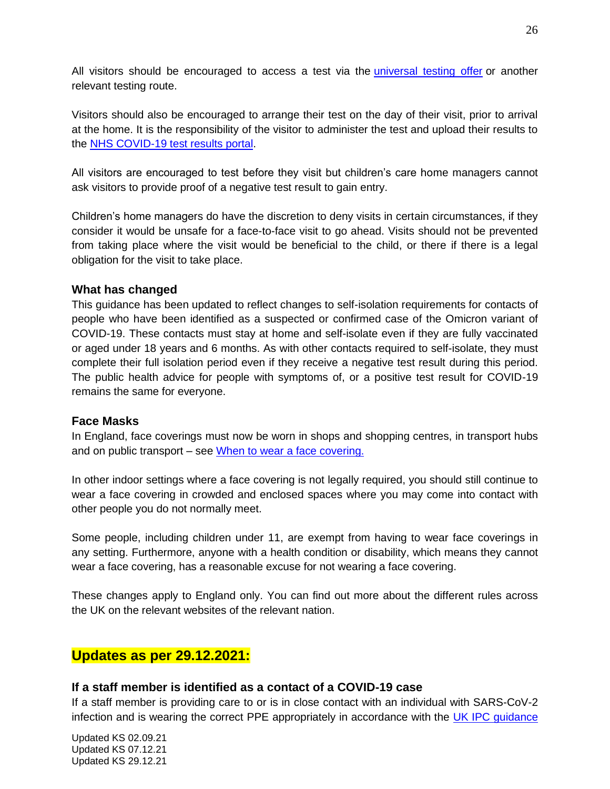All visitors should be encouraged to access a test via the [universal testing offer](https://www.gov.uk/government/news/twice-weekly-rapid-testing-to-be-available-to-everyone-in-england) or another relevant testing route.

Visitors should also be encouraged to arrange their test on the day of their visit, prior to arrival at the home. It is the responsibility of the visitor to administer the test and upload their results to the [NHS COVID-19 test](https://www.gov.uk/report-covid19-result) results portal.

All visitors are encouraged to test before they visit but children's care home managers cannot ask visitors to provide proof of a negative test result to gain entry.

Children's home managers do have the discretion to deny visits in certain circumstances, if they consider it would be unsafe for a face-to-face visit to go ahead. Visits should not be prevented from taking place where the visit would be beneficial to the child, or there if there is a legal obligation for the visit to take place.

## **What has changed**

This guidance has been updated to reflect changes to self-isolation requirements for contacts of people who have been identified as a suspected or confirmed case of the Omicron variant of COVID-19. These contacts must stay at home and self-isolate even if they are fully vaccinated or aged under 18 years and 6 months. As with other contacts required to self-isolate, they must complete their full isolation period even if they receive a negative test result during this period. The public health advice for people with symptoms of, or a positive test result for COVID-19 remains the same for everyone.

## **Face Masks**

In England, face coverings must now be worn in shops and shopping centres, in transport hubs and on public transport – see [When to wear a face covering.](https://www.gov.uk/government/publications/face-coverings-when-to-wear-one-and-how-to-make-your-own/face-coverings-when-to-wear-one-and-how-to-make-your-own)

In other indoor settings where a face covering is not legally required, you should still continue to wear a face covering in crowded and enclosed spaces where you may come into contact with other people you do not normally meet.

Some people, including children under 11, are exempt from having to wear face coverings in any setting. Furthermore, anyone with a health condition or disability, which means they cannot wear a face covering, has a reasonable excuse for not wearing a face covering.

These changes apply to England only. You can find out more about the different rules across the UK on the relevant websites of the relevant nation.

# **Updates as per 29.12.2021:**

## **If a staff member is identified as a contact of a COVID-19 case**

If a staff member is providing care to or is in close contact with an individual with SARS-CoV-2 infection and is wearing the correct PPE appropriately in accordance with the UK IPC quidance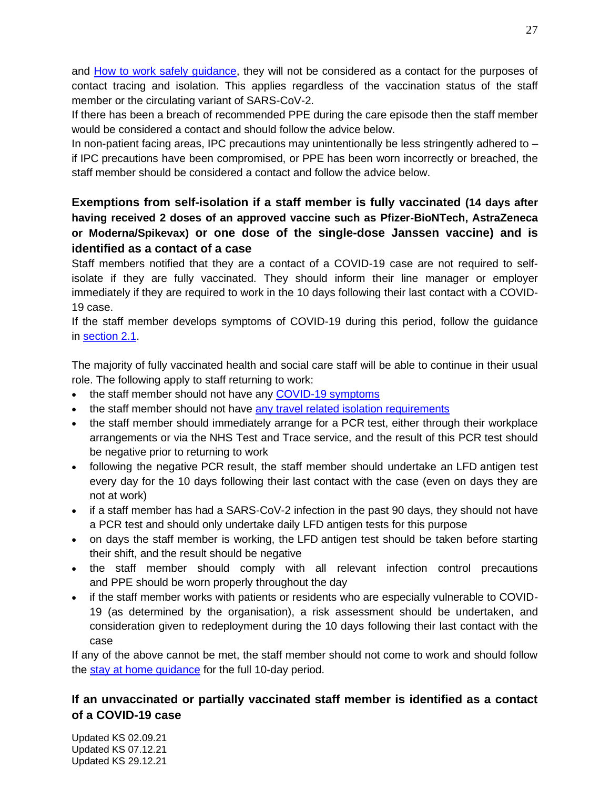and [How to work safely guidance,](https://www.gov.uk/government/publications/covid-19-how-to-work-safely-in-care-homes) they will not be considered as a contact for the purposes of contact tracing and isolation. This applies regardless of the vaccination status of the staff member or the circulating variant of SARS-CoV-2.

If there has been a breach of recommended PPE during the care episode then the staff member would be considered a contact and should follow the advice below.

In non-patient facing areas, IPC precautions may unintentionally be less stringently adhered to – if IPC precautions have been compromised, or PPE has been worn incorrectly or breached, the staff member should be considered a contact and follow the advice below.

# **Exemptions from self-isolation if a staff member is fully vaccinated (14 days after having received 2 doses of an approved vaccine such as Pfizer-BioNTech, AstraZeneca or Moderna/Spikevax) or one dose of the single-dose Janssen vaccine) and is identified as a contact of a case**

Staff members notified that they are a contact of a COVID-19 case are not required to selfisolate if they are fully vaccinated. They should inform their line manager or employer immediately if they are required to work in the 10 days following their last contact with a COVID-19 case.

If the staff member develops symptoms of COVID-19 during this period, follow the guidance in [section 2.1.](https://www.gov.uk/government/publications/covid-19-management-of-exposed-healthcare-workers-and-patients-in-hospital-settings/covid-19-management-of-exposed-healthcare-workers-and-patients-in-hospital-settings#section2-1)

The majority of fully vaccinated health and social care staff will be able to continue in their usual role. The following apply to staff returning to work:

- the staff member should not have any [COVID-19 symptoms](https://www.gov.uk/government/publications/wuhan-novel-coronavirus-background-information/wuhan-novel-coronavirus-epidemiology-virology-and-clinical-features#clinical-features)
- the staff member should not have [any travel related isolation requirements](https://www.gov.uk/guidance/travel-to-england-from-another-country-during-coronavirus-covid-19)
- the staff member should immediately arrange for a PCR test, either through their workplace arrangements or via the NHS Test and Trace service, and the result of this PCR test should be negative prior to returning to work
- following the negative PCR result, the staff member should undertake an LFD antigen test every day for the 10 days following their last contact with the case (even on days they are not at work)
- if a staff member has had a SARS-CoV-2 infection in the past 90 days, they should not have a PCR test and should only undertake daily LFD antigen tests for this purpose
- on days the staff member is working, the LFD antigen test should be taken before starting their shift, and the result should be negative
- the staff member should comply with all relevant infection control precautions and PPE should be worn properly throughout the day
- if the staff member works with patients or residents who are especially vulnerable to COVID-19 (as determined by the organisation), a risk assessment should be undertaken, and consideration given to redeployment during the 10 days following their last contact with the case

If any of the above cannot be met, the staff member should not come to work and should follow the [stay at home guidance](https://www.gov.uk/government/publications/covid-19-stay-at-home-guidance/stay-at-home-guidance-for-households-with-possible-coronavirus-covid-19-infection) for the full 10-day period.

# **If an unvaccinated or partially vaccinated staff member is identified as a contact of a COVID-19 case**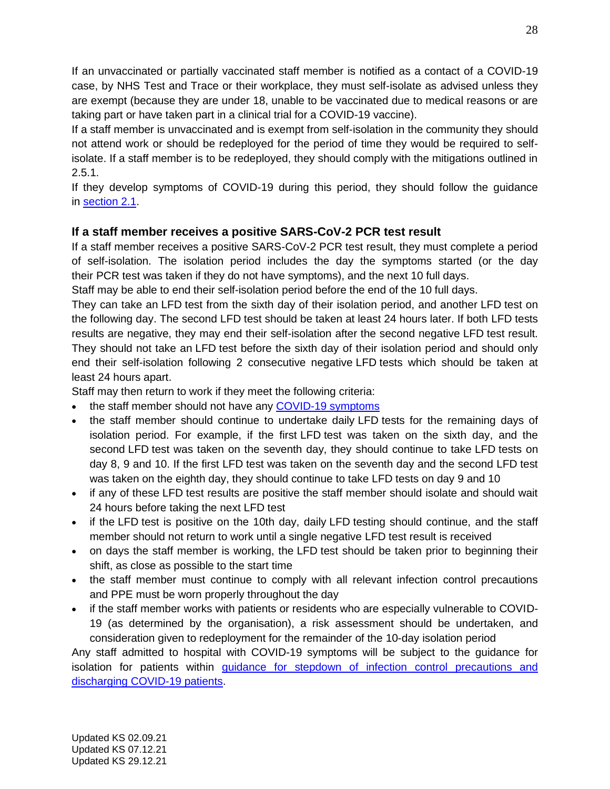If an unvaccinated or partially vaccinated staff member is notified as a contact of a COVID-19 case, by NHS Test and Trace or their workplace, they must self-isolate as advised unless they are exempt (because they are under 18, unable to be vaccinated due to medical reasons or are taking part or have taken part in a clinical trial for a COVID-19 vaccine).

If a staff member is unvaccinated and is exempt from self-isolation in the community they should not attend work or should be redeployed for the period of time they would be required to selfisolate. If a staff member is to be redeployed, they should comply with the mitigations outlined in 2.5.1.

If they develop symptoms of COVID-19 during this period, they should follow the guidance in [section 2.1.](https://www.gov.uk/government/publications/covid-19-management-of-exposed-healthcare-workers-and-patients-in-hospital-settings/covid-19-management-of-exposed-healthcare-workers-and-patients-in-hospital-settings#section2-1)

# **If a staff member receives a positive SARS-CoV-2 PCR test result**

If a staff member receives a positive SARS-CoV-2 PCR test result, they must complete a period of self-isolation. The isolation period includes the day the symptoms started (or the day their PCR test was taken if they do not have symptoms), and the next 10 full days.

Staff may be able to end their self-isolation period before the end of the 10 full days.

They can take an LFD test from the sixth day of their isolation period, and another LFD test on the following day. The second LFD test should be taken at least 24 hours later. If both LFD tests results are negative, they may end their self-isolation after the second negative LFD test result. They should not take an LFD test before the sixth day of their isolation period and should only end their self-isolation following 2 consecutive negative LFD tests which should be taken at least 24 hours apart.

Staff may then return to work if they meet the following criteria:

- the staff member should not have any [COVID-19 symptoms](https://www.nhs.uk/conditions/coronavirus-covid-19/symptoms/)
- the staff member should continue to undertake daily LFD tests for the remaining days of isolation period. For example, if the first LFD test was taken on the sixth day, and the second LFD test was taken on the seventh day, they should continue to take LFD tests on day 8, 9 and 10. If the first LFD test was taken on the seventh day and the second LFD test was taken on the eighth day, they should continue to take LFD tests on day 9 and 10
- if any of these LFD test results are positive the staff member should isolate and should wait 24 hours before taking the next LFD test
- if the LFD test is positive on the 10th day, daily LFD testing should continue, and the staff member should not return to work until a single negative LFD test result is received
- on days the staff member is working, the LFD test should be taken prior to beginning their shift, as close as possible to the start time
- the staff member must continue to comply with all relevant infection control precautions and PPE must be worn properly throughout the day
- if the staff member works with patients or residents who are especially vulnerable to COVID-19 (as determined by the organisation), a risk assessment should be undertaken, and consideration given to redeployment for the remainder of the 10-day isolation period

Any staff admitted to hospital with COVID-19 symptoms will be subject to the guidance for isolation for patients within [guidance for stepdown of infection control precautions and](https://www.gov.uk/government/publications/covid-19-guidance-for-stepdown-of-infection-control-precautions-within-hospitals-and-discharging-covid-19-patients-from-hospital-to-home-settings)  [discharging COVID-19 patients.](https://www.gov.uk/government/publications/covid-19-guidance-for-stepdown-of-infection-control-precautions-within-hospitals-and-discharging-covid-19-patients-from-hospital-to-home-settings)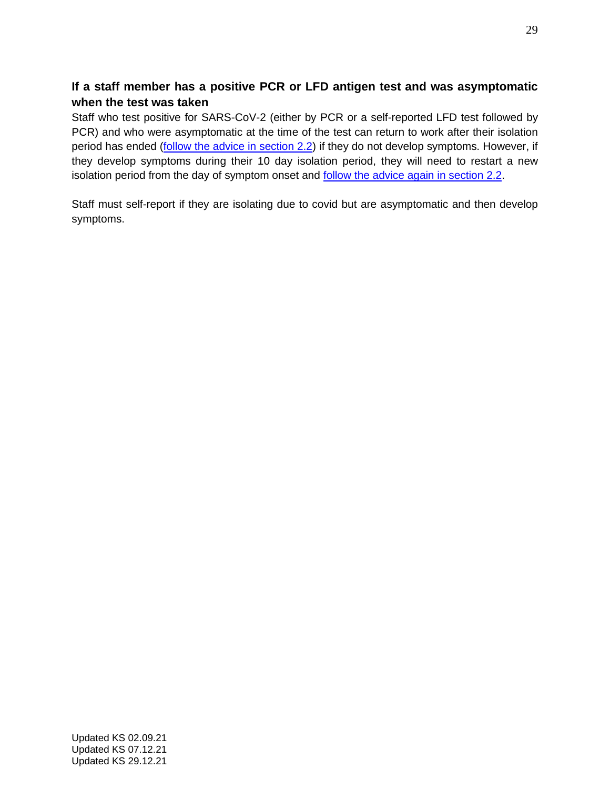# **If a staff member has a positive PCR or LFD antigen test and was asymptomatic when the test was taken**

Staff who test positive for SARS-CoV-2 (either by PCR or a self-reported LFD test followed by PCR) and who were asymptomatic at the time of the test can return to work after their isolation period has ended [\(follow the advice in section 2.2\)](https://www.gov.uk/government/publications/covid-19-management-of-exposed-healthcare-workers-and-patients-in-hospital-settings/covid-19-management-of-exposed-healthcare-workers-and-patients-in-hospital-settings#section2-2) if they do not develop symptoms. However, if they develop symptoms during their 10 day isolation period, they will need to restart a new isolation period from the day of symptom onset and **follow the advice again in section 2.2**.

Staff must self-report if they are isolating due to covid but are asymptomatic and then develop symptoms.